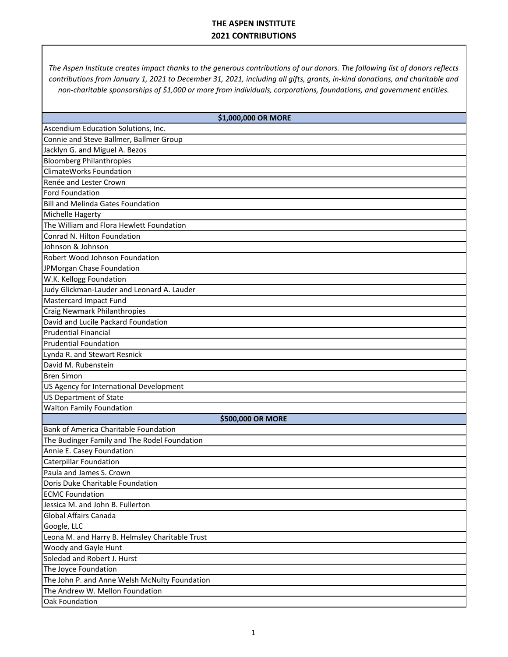*The Aspen Institute creates impact thanks to the generous contributions of our donors. The following list of donors reflects contributions from January 1, 2021 to December 31, 2021, including all gifts, grants, in-kind donations, and charitable and non-charitable sponsorships of \$1,000 or more from individuals, corporations, foundations, and government entities.* 

| \$1,000,000 OR MORE                              |
|--------------------------------------------------|
| Ascendium Education Solutions, Inc.              |
| Connie and Steve Ballmer, Ballmer Group          |
| Jacklyn G. and Miguel A. Bezos                   |
| <b>Bloomberg Philanthropies</b>                  |
| ClimateWorks Foundation                          |
|                                                  |
| Renée and Lester Crown<br><b>Ford Foundation</b> |
| <b>Bill and Melinda Gates Foundation</b>         |
|                                                  |
| Michelle Hagerty                                 |
| The William and Flora Hewlett Foundation         |
| Conrad N. Hilton Foundation                      |
| Johnson & Johnson                                |
| Robert Wood Johnson Foundation                   |
| JPMorgan Chase Foundation                        |
| W.K. Kellogg Foundation                          |
| Judy Glickman-Lauder and Leonard A. Lauder       |
| <b>Mastercard Impact Fund</b>                    |
| Craig Newmark Philanthropies                     |
| David and Lucile Packard Foundation              |
| <b>Prudential Financial</b>                      |
| <b>Prudential Foundation</b>                     |
| Lynda R. and Stewart Resnick                     |
| David M. Rubenstein                              |
| <b>Bren Simon</b>                                |
| US Agency for International Development          |
| <b>US Department of State</b>                    |
| <b>Walton Family Foundation</b>                  |
| \$500,000 OR MORE                                |
| <b>Bank of America Charitable Foundation</b>     |
| The Budinger Family and The Rodel Foundation     |
| Annie E. Casey Foundation                        |
| <b>Caterpillar Foundation</b>                    |
| Paula and James S. Crown                         |
| Doris Duke Charitable Foundation                 |
| <b>ECMC Foundation</b>                           |
| Jessica M. and John B. Fullerton                 |
| Global Affairs Canada                            |
| Google, LLC                                      |
| Leona M. and Harry B. Helmsley Charitable Trust  |
| Woody and Gayle Hunt                             |
| Soledad and Robert J. Hurst                      |
| The Joyce Foundation                             |
| The John P. and Anne Welsh McNulty Foundation    |
| The Andrew W. Mellon Foundation                  |
| Oak Foundation                                   |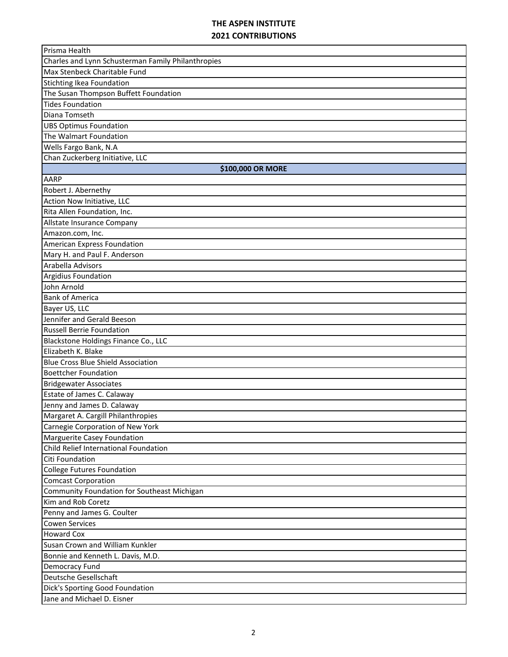| Prisma Health                                      |
|----------------------------------------------------|
| Charles and Lynn Schusterman Family Philanthropies |
| Max Stenbeck Charitable Fund                       |
| Stichting Ikea Foundation                          |
| The Susan Thompson Buffett Foundation              |
| Tides Foundation                                   |
| Diana Tomseth                                      |
| <b>UBS Optimus Foundation</b>                      |
| The Walmart Foundation                             |
| Wells Fargo Bank, N.A                              |
| Chan Zuckerberg Initiative, LLC                    |
| \$100,000 OR MORE                                  |
| AARP                                               |
| Robert J. Abernethy                                |
| Action Now Initiative, LLC                         |
| Rita Allen Foundation, Inc.                        |
| Allstate Insurance Company                         |
| Amazon.com, Inc.                                   |
| American Express Foundation                        |
| Mary H. and Paul F. Anderson                       |
| Arabella Advisors                                  |
| Argidius Foundation                                |
| John Arnold                                        |
| <b>Bank of America</b>                             |
| Bayer US, LLC                                      |
| Jennifer and Gerald Beeson                         |
| <b>Russell Berrie Foundation</b>                   |
| Blackstone Holdings Finance Co., LLC               |
| Elizabeth K. Blake                                 |
| <b>Blue Cross Blue Shield Association</b>          |
| <b>Boettcher Foundation</b>                        |
| <b>Bridgewater Associates</b>                      |
| Estate of James C. Calaway                         |
| Jenny and James D. Calaway                         |
| Margaret A. Cargill Philanthropies                 |
| Carnegie Corporation of New York                   |
| Marguerite Casey Foundation                        |
| Child Relief International Foundation              |
| Citi Foundation                                    |
| College Futures Foundation                         |
| <b>Comcast Corporation</b>                         |
| Community Foundation for Southeast Michigan        |
| Kim and Rob Coretz                                 |
| Penny and James G. Coulter                         |
| <b>Cowen Services</b>                              |
| Howard Cox                                         |
| Susan Crown and William Kunkler                    |
| Bonnie and Kenneth L. Davis, M.D.                  |
| Democracy Fund                                     |
| Deutsche Gesellschaft                              |
| Dick's Sporting Good Foundation                    |
| Jane and Michael D. Eisner                         |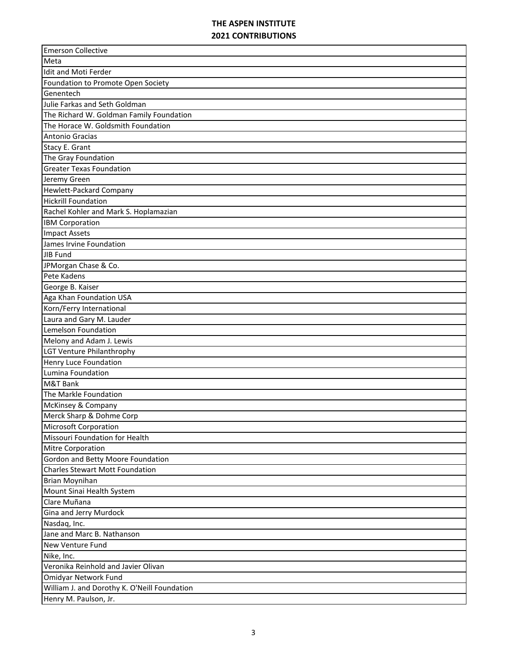| <b>Emerson Collective</b>                    |
|----------------------------------------------|
| Meta                                         |
| Idit and Moti Ferder                         |
| Foundation to Promote Open Society           |
| Genentech                                    |
| Julie Farkas and Seth Goldman                |
| The Richard W. Goldman Family Foundation     |
| The Horace W. Goldsmith Foundation           |
| Antonio Gracias                              |
| Stacy E. Grant                               |
| The Gray Foundation                          |
| <b>Greater Texas Foundation</b>              |
| Jeremy Green                                 |
| <b>Hewlett-Packard Company</b>               |
| <b>Hickrill Foundation</b>                   |
| Rachel Kohler and Mark S. Hoplamazian        |
| <b>IBM Corporation</b>                       |
| <b>Impact Assets</b>                         |
| James Irvine Foundation                      |
| JIB Fund                                     |
| JPMorgan Chase & Co.                         |
| Pete Kadens                                  |
| George B. Kaiser                             |
| Aga Khan Foundation USA                      |
| Korn/Ferry International                     |
| Laura and Gary M. Lauder                     |
| Lemelson Foundation                          |
| Melony and Adam J. Lewis                     |
| <b>LGT Venture Philanthrophy</b>             |
| <b>Henry Luce Foundation</b>                 |
| Lumina Foundation                            |
| M&T Bank                                     |
| The Markle Foundation                        |
| McKinsey & Company                           |
| Merck Sharp & Dohme Corp                     |
| Microsoft Corporation                        |
| Missouri Foundation for Health               |
| Mitre Corporation                            |
| <b>Gordon and Betty Moore Foundation</b>     |
| <b>Charles Stewart Mott Foundation</b>       |
| <b>Brian Moynihan</b>                        |
| Mount Sinai Health System                    |
| Clare Muñana                                 |
| Gina and Jerry Murdock                       |
| Nasdaq, Inc.                                 |
| Jane and Marc B. Nathanson                   |
| New Venture Fund                             |
| Nike, Inc.                                   |
| Veronika Reinhold and Javier Olivan          |
| Omidyar Network Fund                         |
| William J. and Dorothy K. O'Neill Foundation |
| Henry M. Paulson, Jr.                        |
|                                              |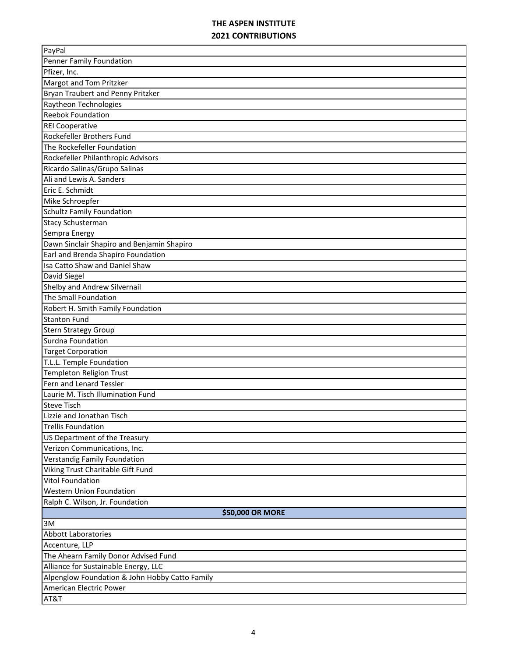| PayPal                                         |
|------------------------------------------------|
| Penner Family Foundation                       |
| Pfizer, Inc.                                   |
| Margot and Tom Pritzker                        |
| Bryan Traubert and Penny Pritzker              |
| Raytheon Technologies                          |
| <b>Reebok Foundation</b>                       |
| <b>REI Cooperative</b>                         |
| Rockefeller Brothers Fund                      |
| The Rockefeller Foundation                     |
| Rockefeller Philanthropic Advisors             |
| Ricardo Salinas/Grupo Salinas                  |
| Ali and Lewis A. Sanders                       |
| Eric E. Schmidt                                |
| Mike Schroepfer                                |
| <b>Schultz Family Foundation</b>               |
| <b>Stacy Schusterman</b>                       |
| Sempra Energy                                  |
| Dawn Sinclair Shapiro and Benjamin Shapiro     |
| Earl and Brenda Shapiro Foundation             |
| Isa Catto Shaw and Daniel Shaw                 |
| David Siegel                                   |
| Shelby and Andrew Silvernail                   |
| The Small Foundation                           |
| Robert H. Smith Family Foundation              |
| <b>Stanton Fund</b>                            |
| <b>Stern Strategy Group</b>                    |
| Surdna Foundation                              |
| <b>Target Corporation</b>                      |
| T.L.L. Temple Foundation                       |
| Templeton Religion Trust                       |
| Fern and Lenard Tessler                        |
| Laurie M. Tisch Illumination Fund              |
| <b>Steve Tisch</b>                             |
| Lizzie and Jonathan Tisch                      |
| <b>Trellis Foundation</b>                      |
| US Department of the Treasury                  |
| Verizon Communications, Inc.                   |
| Verstandig Family Foundation                   |
| Viking Trust Charitable Gift Fund              |
| Vitol Foundation                               |
| <b>Western Union Foundation</b>                |
| Ralph C. Wilson, Jr. Foundation                |
| \$50,000 OR MORE                               |
| 3M                                             |
| <b>Abbott Laboratories</b>                     |
| Accenture, LLP                                 |
| The Ahearn Family Donor Advised Fund           |
| Alliance for Sustainable Energy, LLC           |
| Alpenglow Foundation & John Hobby Catto Family |
| American Electric Power                        |
| AT&T                                           |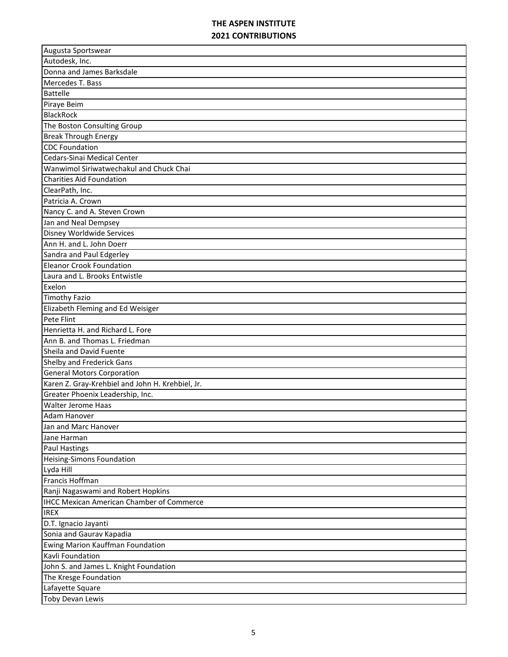| Augusta Sportswear                               |
|--------------------------------------------------|
| Autodesk, Inc.                                   |
| Donna and James Barksdale                        |
| Mercedes T. Bass                                 |
| <b>Battelle</b>                                  |
| Piraye Beim                                      |
| <b>BlackRock</b>                                 |
| The Boston Consulting Group                      |
| <b>Break Through Energy</b>                      |
| <b>CDC</b> Foundation                            |
| Cedars-Sinai Medical Center                      |
| Wanwimol Siriwatwechakul and Chuck Chai          |
| <b>Charities Aid Foundation</b>                  |
| ClearPath, Inc.                                  |
| Patricia A. Crown                                |
| Nancy C. and A. Steven Crown                     |
| Jan and Neal Dempsey                             |
| Disney Worldwide Services                        |
| Ann H. and L. John Doerr                         |
| Sandra and Paul Edgerley                         |
| <b>Eleanor Crook Foundation</b>                  |
| Laura and L. Brooks Entwistle                    |
| Exelon                                           |
| <b>Timothy Fazio</b>                             |
| Elizabeth Fleming and Ed Weisiger                |
| Pete Flint                                       |
| Henrietta H. and Richard L. Fore                 |
| Ann B. and Thomas L. Friedman                    |
| Sheila and David Fuente                          |
| Shelby and Frederick Gans                        |
| <b>General Motors Corporation</b>                |
| Karen Z. Gray-Krehbiel and John H. Krehbiel, Jr. |
| Greater Phoenix Leadership, Inc.                 |
| <b>Walter Jerome Haas</b>                        |
| Adam Hanover                                     |
| Jan and Marc Hanover                             |
| Jane Harman                                      |
| <b>Paul Hastings</b>                             |
| <b>Heising-Simons Foundation</b>                 |
| Lyda Hill                                        |
| Francis Hoffman                                  |
| Ranji Nagaswami and Robert Hopkins               |
| <b>IHCC Mexican American Chamber of Commerce</b> |
| <b>IREX</b>                                      |
| D.T. Ignacio Jayanti                             |
| Sonia and Gaurav Kapadia                         |
| Ewing Marion Kauffman Foundation                 |
| Kavli Foundation                                 |
| John S. and James L. Knight Foundation           |
| The Kresge Foundation                            |
| Lafayette Square                                 |
| Toby Devan Lewis                                 |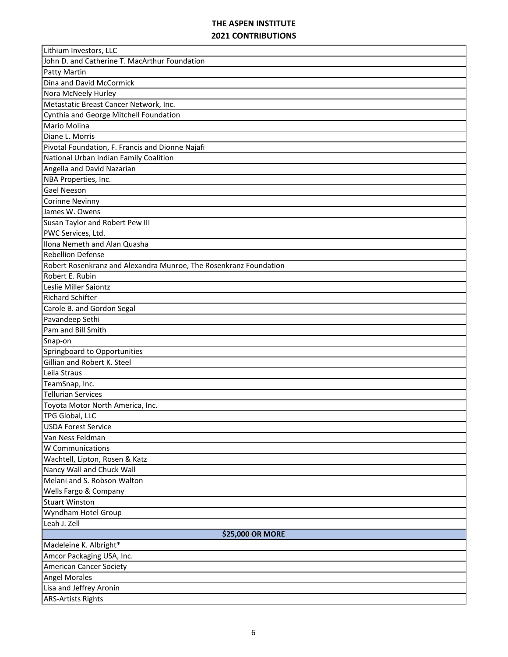| John D. and Catherine T. MacArthur Foundation<br><b>Patty Martin</b><br>Dina and David McCormick<br>Nora McNeely Hurley<br>Metastatic Breast Cancer Network, Inc.<br>Cynthia and George Mitchell Foundation<br>Mario Molina<br>Diane L. Morris<br>Pivotal Foundation, F. Francis and Dionne Najafi<br>National Urban Indian Family Coalition<br>Angella and David Nazarian<br>NBA Properties, Inc.<br><b>Gael Neeson</b><br><b>Corinne Nevinny</b><br>James W. Owens<br>Susan Taylor and Robert Pew III<br>PWC Services, Ltd.<br>Ilona Nemeth and Alan Quasha<br><b>Rebellion Defense</b><br>Robert Rosenkranz and Alexandra Munroe, The Rosenkranz Foundation<br>Robert E. Rubin<br>Leslie Miller Saiontz<br><b>Richard Schifter</b><br>Carole B. and Gordon Segal<br>Pavandeep Sethi<br>Pam and Bill Smith<br>Snap-on<br>Springboard to Opportunities<br>Gillian and Robert K. Steel<br>Leila Straus<br>TeamSnap, Inc.<br><b>Tellurian Services</b><br>Toyota Motor North America, Inc.<br>TPG Global, LLC<br><b>USDA Forest Service</b><br>Van Ness Feldman<br>W Communications<br>Wachtell, Lipton, Rosen & Katz<br>Nancy Wall and Chuck Wall<br>Melani and S. Robson Walton<br>Wells Fargo & Company<br><b>Stuart Winston</b><br>Wyndham Hotel Group<br>Leah J. Zell | Lithium Investors, LLC |
|---------------------------------------------------------------------------------------------------------------------------------------------------------------------------------------------------------------------------------------------------------------------------------------------------------------------------------------------------------------------------------------------------------------------------------------------------------------------------------------------------------------------------------------------------------------------------------------------------------------------------------------------------------------------------------------------------------------------------------------------------------------------------------------------------------------------------------------------------------------------------------------------------------------------------------------------------------------------------------------------------------------------------------------------------------------------------------------------------------------------------------------------------------------------------------------------------------------------------------------------------------------------------|------------------------|
|                                                                                                                                                                                                                                                                                                                                                                                                                                                                                                                                                                                                                                                                                                                                                                                                                                                                                                                                                                                                                                                                                                                                                                                                                                                                           |                        |
|                                                                                                                                                                                                                                                                                                                                                                                                                                                                                                                                                                                                                                                                                                                                                                                                                                                                                                                                                                                                                                                                                                                                                                                                                                                                           |                        |
|                                                                                                                                                                                                                                                                                                                                                                                                                                                                                                                                                                                                                                                                                                                                                                                                                                                                                                                                                                                                                                                                                                                                                                                                                                                                           |                        |
|                                                                                                                                                                                                                                                                                                                                                                                                                                                                                                                                                                                                                                                                                                                                                                                                                                                                                                                                                                                                                                                                                                                                                                                                                                                                           |                        |
|                                                                                                                                                                                                                                                                                                                                                                                                                                                                                                                                                                                                                                                                                                                                                                                                                                                                                                                                                                                                                                                                                                                                                                                                                                                                           |                        |
|                                                                                                                                                                                                                                                                                                                                                                                                                                                                                                                                                                                                                                                                                                                                                                                                                                                                                                                                                                                                                                                                                                                                                                                                                                                                           |                        |
|                                                                                                                                                                                                                                                                                                                                                                                                                                                                                                                                                                                                                                                                                                                                                                                                                                                                                                                                                                                                                                                                                                                                                                                                                                                                           |                        |
|                                                                                                                                                                                                                                                                                                                                                                                                                                                                                                                                                                                                                                                                                                                                                                                                                                                                                                                                                                                                                                                                                                                                                                                                                                                                           |                        |
|                                                                                                                                                                                                                                                                                                                                                                                                                                                                                                                                                                                                                                                                                                                                                                                                                                                                                                                                                                                                                                                                                                                                                                                                                                                                           |                        |
|                                                                                                                                                                                                                                                                                                                                                                                                                                                                                                                                                                                                                                                                                                                                                                                                                                                                                                                                                                                                                                                                                                                                                                                                                                                                           |                        |
|                                                                                                                                                                                                                                                                                                                                                                                                                                                                                                                                                                                                                                                                                                                                                                                                                                                                                                                                                                                                                                                                                                                                                                                                                                                                           |                        |
|                                                                                                                                                                                                                                                                                                                                                                                                                                                                                                                                                                                                                                                                                                                                                                                                                                                                                                                                                                                                                                                                                                                                                                                                                                                                           |                        |
|                                                                                                                                                                                                                                                                                                                                                                                                                                                                                                                                                                                                                                                                                                                                                                                                                                                                                                                                                                                                                                                                                                                                                                                                                                                                           |                        |
|                                                                                                                                                                                                                                                                                                                                                                                                                                                                                                                                                                                                                                                                                                                                                                                                                                                                                                                                                                                                                                                                                                                                                                                                                                                                           |                        |
|                                                                                                                                                                                                                                                                                                                                                                                                                                                                                                                                                                                                                                                                                                                                                                                                                                                                                                                                                                                                                                                                                                                                                                                                                                                                           |                        |
|                                                                                                                                                                                                                                                                                                                                                                                                                                                                                                                                                                                                                                                                                                                                                                                                                                                                                                                                                                                                                                                                                                                                                                                                                                                                           |                        |
|                                                                                                                                                                                                                                                                                                                                                                                                                                                                                                                                                                                                                                                                                                                                                                                                                                                                                                                                                                                                                                                                                                                                                                                                                                                                           |                        |
|                                                                                                                                                                                                                                                                                                                                                                                                                                                                                                                                                                                                                                                                                                                                                                                                                                                                                                                                                                                                                                                                                                                                                                                                                                                                           |                        |
|                                                                                                                                                                                                                                                                                                                                                                                                                                                                                                                                                                                                                                                                                                                                                                                                                                                                                                                                                                                                                                                                                                                                                                                                                                                                           |                        |
|                                                                                                                                                                                                                                                                                                                                                                                                                                                                                                                                                                                                                                                                                                                                                                                                                                                                                                                                                                                                                                                                                                                                                                                                                                                                           |                        |
|                                                                                                                                                                                                                                                                                                                                                                                                                                                                                                                                                                                                                                                                                                                                                                                                                                                                                                                                                                                                                                                                                                                                                                                                                                                                           |                        |
|                                                                                                                                                                                                                                                                                                                                                                                                                                                                                                                                                                                                                                                                                                                                                                                                                                                                                                                                                                                                                                                                                                                                                                                                                                                                           |                        |
|                                                                                                                                                                                                                                                                                                                                                                                                                                                                                                                                                                                                                                                                                                                                                                                                                                                                                                                                                                                                                                                                                                                                                                                                                                                                           |                        |
|                                                                                                                                                                                                                                                                                                                                                                                                                                                                                                                                                                                                                                                                                                                                                                                                                                                                                                                                                                                                                                                                                                                                                                                                                                                                           |                        |
|                                                                                                                                                                                                                                                                                                                                                                                                                                                                                                                                                                                                                                                                                                                                                                                                                                                                                                                                                                                                                                                                                                                                                                                                                                                                           |                        |
|                                                                                                                                                                                                                                                                                                                                                                                                                                                                                                                                                                                                                                                                                                                                                                                                                                                                                                                                                                                                                                                                                                                                                                                                                                                                           |                        |
|                                                                                                                                                                                                                                                                                                                                                                                                                                                                                                                                                                                                                                                                                                                                                                                                                                                                                                                                                                                                                                                                                                                                                                                                                                                                           |                        |
|                                                                                                                                                                                                                                                                                                                                                                                                                                                                                                                                                                                                                                                                                                                                                                                                                                                                                                                                                                                                                                                                                                                                                                                                                                                                           |                        |
|                                                                                                                                                                                                                                                                                                                                                                                                                                                                                                                                                                                                                                                                                                                                                                                                                                                                                                                                                                                                                                                                                                                                                                                                                                                                           |                        |
|                                                                                                                                                                                                                                                                                                                                                                                                                                                                                                                                                                                                                                                                                                                                                                                                                                                                                                                                                                                                                                                                                                                                                                                                                                                                           |                        |
|                                                                                                                                                                                                                                                                                                                                                                                                                                                                                                                                                                                                                                                                                                                                                                                                                                                                                                                                                                                                                                                                                                                                                                                                                                                                           |                        |
|                                                                                                                                                                                                                                                                                                                                                                                                                                                                                                                                                                                                                                                                                                                                                                                                                                                                                                                                                                                                                                                                                                                                                                                                                                                                           |                        |
|                                                                                                                                                                                                                                                                                                                                                                                                                                                                                                                                                                                                                                                                                                                                                                                                                                                                                                                                                                                                                                                                                                                                                                                                                                                                           |                        |
|                                                                                                                                                                                                                                                                                                                                                                                                                                                                                                                                                                                                                                                                                                                                                                                                                                                                                                                                                                                                                                                                                                                                                                                                                                                                           |                        |
|                                                                                                                                                                                                                                                                                                                                                                                                                                                                                                                                                                                                                                                                                                                                                                                                                                                                                                                                                                                                                                                                                                                                                                                                                                                                           |                        |
|                                                                                                                                                                                                                                                                                                                                                                                                                                                                                                                                                                                                                                                                                                                                                                                                                                                                                                                                                                                                                                                                                                                                                                                                                                                                           |                        |
|                                                                                                                                                                                                                                                                                                                                                                                                                                                                                                                                                                                                                                                                                                                                                                                                                                                                                                                                                                                                                                                                                                                                                                                                                                                                           |                        |
|                                                                                                                                                                                                                                                                                                                                                                                                                                                                                                                                                                                                                                                                                                                                                                                                                                                                                                                                                                                                                                                                                                                                                                                                                                                                           |                        |
|                                                                                                                                                                                                                                                                                                                                                                                                                                                                                                                                                                                                                                                                                                                                                                                                                                                                                                                                                                                                                                                                                                                                                                                                                                                                           |                        |
|                                                                                                                                                                                                                                                                                                                                                                                                                                                                                                                                                                                                                                                                                                                                                                                                                                                                                                                                                                                                                                                                                                                                                                                                                                                                           |                        |
|                                                                                                                                                                                                                                                                                                                                                                                                                                                                                                                                                                                                                                                                                                                                                                                                                                                                                                                                                                                                                                                                                                                                                                                                                                                                           |                        |
|                                                                                                                                                                                                                                                                                                                                                                                                                                                                                                                                                                                                                                                                                                                                                                                                                                                                                                                                                                                                                                                                                                                                                                                                                                                                           |                        |
|                                                                                                                                                                                                                                                                                                                                                                                                                                                                                                                                                                                                                                                                                                                                                                                                                                                                                                                                                                                                                                                                                                                                                                                                                                                                           |                        |
|                                                                                                                                                                                                                                                                                                                                                                                                                                                                                                                                                                                                                                                                                                                                                                                                                                                                                                                                                                                                                                                                                                                                                                                                                                                                           |                        |
|                                                                                                                                                                                                                                                                                                                                                                                                                                                                                                                                                                                                                                                                                                                                                                                                                                                                                                                                                                                                                                                                                                                                                                                                                                                                           | \$25,000 OR MORE       |
| Madeleine K. Albright*                                                                                                                                                                                                                                                                                                                                                                                                                                                                                                                                                                                                                                                                                                                                                                                                                                                                                                                                                                                                                                                                                                                                                                                                                                                    |                        |
| Amcor Packaging USA, Inc.                                                                                                                                                                                                                                                                                                                                                                                                                                                                                                                                                                                                                                                                                                                                                                                                                                                                                                                                                                                                                                                                                                                                                                                                                                                 |                        |
| <b>American Cancer Society</b>                                                                                                                                                                                                                                                                                                                                                                                                                                                                                                                                                                                                                                                                                                                                                                                                                                                                                                                                                                                                                                                                                                                                                                                                                                            |                        |
| <b>Angel Morales</b>                                                                                                                                                                                                                                                                                                                                                                                                                                                                                                                                                                                                                                                                                                                                                                                                                                                                                                                                                                                                                                                                                                                                                                                                                                                      |                        |
| Lisa and Jeffrey Aronin                                                                                                                                                                                                                                                                                                                                                                                                                                                                                                                                                                                                                                                                                                                                                                                                                                                                                                                                                                                                                                                                                                                                                                                                                                                   |                        |
| <b>ARS-Artists Rights</b>                                                                                                                                                                                                                                                                                                                                                                                                                                                                                                                                                                                                                                                                                                                                                                                                                                                                                                                                                                                                                                                                                                                                                                                                                                                 |                        |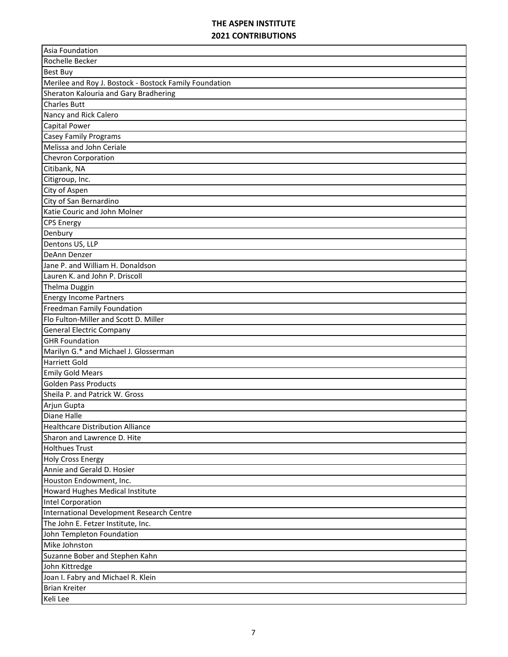| Asia Foundation                                        |
|--------------------------------------------------------|
| Rochelle Becker                                        |
| <b>Best Buy</b>                                        |
| Merilee and Roy J. Bostock - Bostock Family Foundation |
| Sheraton Kalouria and Gary Bradhering                  |
| <b>Charles Butt</b>                                    |
| Nancy and Rick Calero                                  |
| <b>Capital Power</b>                                   |
| <b>Casey Family Programs</b>                           |
| Melissa and John Ceriale                               |
| <b>Chevron Corporation</b>                             |
| Citibank, NA                                           |
| Citigroup, Inc.                                        |
| City of Aspen                                          |
| City of San Bernardino                                 |
| Katie Couric and John Molner                           |
| <b>CPS Energy</b>                                      |
| Denbury                                                |
| Dentons US, LLP                                        |
| DeAnn Denzer                                           |
| Jane P. and William H. Donaldson                       |
| Lauren K. and John P. Driscoll                         |
| Thelma Duggin                                          |
| <b>Energy Income Partners</b>                          |
| Freedman Family Foundation                             |
| Flo Fulton-Miller and Scott D. Miller                  |
| <b>General Electric Company</b>                        |
| <b>GHR Foundation</b>                                  |
| Marilyn G.* and Michael J. Glosserman                  |
| <b>Harriett Gold</b>                                   |
| <b>Emily Gold Mears</b>                                |
| <b>Golden Pass Products</b>                            |
| Sheila P. and Patrick W. Gross                         |
| Arjun Gupta                                            |
| <b>Diane Halle</b>                                     |
| <b>Healthcare Distribution Alliance</b>                |
| Sharon and Lawrence D. Hite                            |
| <b>Holthues Trust</b>                                  |
| <b>Holy Cross Energy</b>                               |
| Annie and Gerald D. Hosier                             |
| Houston Endowment, Inc.                                |
| Howard Hughes Medical Institute                        |
| <b>Intel Corporation</b>                               |
| International Development Research Centre              |
| The John E. Fetzer Institute, Inc.                     |
| John Templeton Foundation                              |
| Mike Johnston                                          |
| Suzanne Bober and Stephen Kahn                         |
| John Kittredge                                         |
| Joan I. Fabry and Michael R. Klein                     |
| <b>Brian Kreiter</b>                                   |
| Keli Lee                                               |
|                                                        |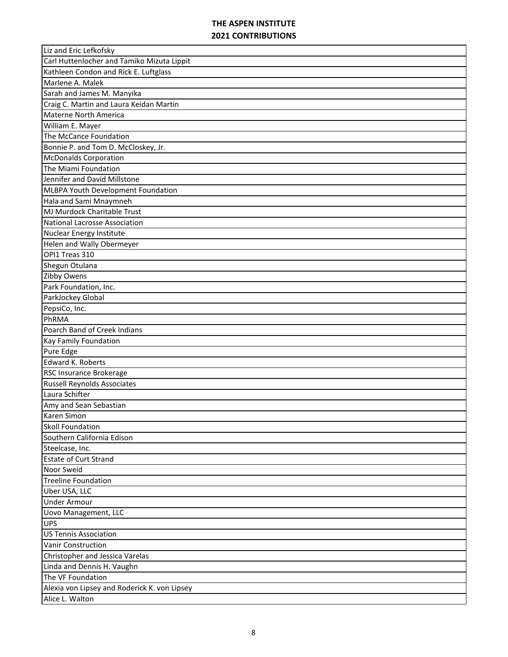| Liz and Eric Lefkofsky                       |
|----------------------------------------------|
| Carl Huttenlocher and Tamiko Mizuta Lippit   |
| Kathleen Condon and Rick E. Luftglass        |
| Marlene A. Malek                             |
| Sarah and James M. Manyika                   |
| Craig C. Martin and Laura Keidan Martin      |
| Materne North America                        |
| William E. Mayer                             |
| The McCance Foundation                       |
| Bonnie P. and Tom D. McCloskey, Jr.          |
| <b>McDonalds Corporation</b>                 |
| The Miami Foundation                         |
| Jennifer and David Millstone                 |
| MLBPA Youth Development Foundation           |
| Hala and Sami Mnaymneh                       |
| MJ Murdock Charitable Trust                  |
| National Lacrosse Association                |
| Nuclear Energy Institute                     |
| Helen and Wally Obermeyer                    |
| OPI1 Treas 310                               |
| Shegun Otulana                               |
| Zibby Owens                                  |
| Park Foundation, Inc.                        |
| ParkJockey Global                            |
| PepsiCo, Inc.                                |
| PhRMA                                        |
| Poarch Band of Creek Indians                 |
| Kay Family Foundation                        |
| Pure Edge                                    |
| <b>Edward K. Roberts</b>                     |
| RSC Insurance Brokerage                      |
| <b>Russell Reynolds Associates</b>           |
| Laura Schifter                               |
| Amy and Sean Sebastian                       |
| Karen Simon                                  |
| <b>Skoll Foundation</b>                      |
| Southern California Edison                   |
| Steelcase, Inc.                              |
| <b>Estate of Curt Strand</b>                 |
| Noor Sweid                                   |
| <b>Treeline Foundation</b>                   |
| Uber USA, LLC                                |
| <b>Under Armour</b>                          |
| <b>Uovo Management, LLC</b>                  |
| <b>UPS</b>                                   |
| <b>US Tennis Association</b>                 |
| Vanir Construction                           |
| Christopher and Jessica Varelas              |
| Linda and Dennis H. Vaughn                   |
| The VF Foundation                            |
| Alexia von Lipsey and Roderick K. von Lipsey |
| Alice L. Walton                              |
|                                              |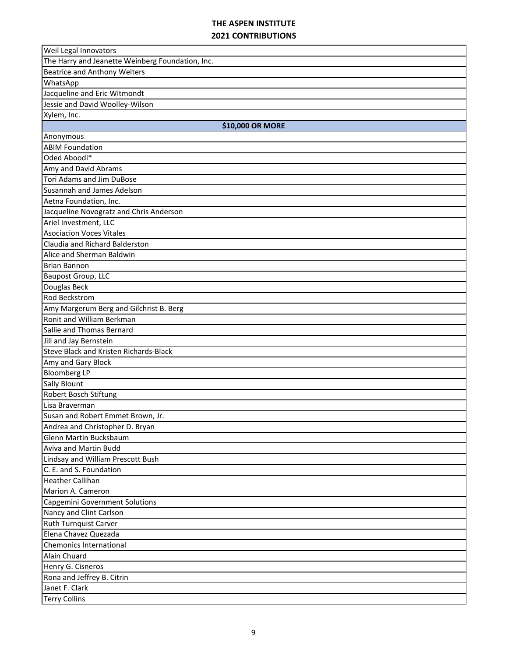| Weil Legal Innovators                            |
|--------------------------------------------------|
| The Harry and Jeanette Weinberg Foundation, Inc. |
| <b>Beatrice and Anthony Welters</b>              |
| WhatsApp                                         |
| Jacqueline and Eric Witmondt                     |
| Jessie and David Woolley-Wilson                  |
| Xylem, Inc.                                      |
| \$10,000 OR MORE                                 |
| Anonymous                                        |
| <b>ABIM Foundation</b>                           |
| Oded Aboodi*                                     |
| Amy and David Abrams                             |
| Tori Adams and Jim DuBose                        |
| Susannah and James Adelson                       |
| Aetna Foundation, Inc.                           |
| Jacqueline Novogratz and Chris Anderson          |
| Ariel Investment, LLC                            |
| <b>Asociacion Voces Vitales</b>                  |
| Claudia and Richard Balderston                   |
| Alice and Sherman Baldwin                        |
| <b>Brian Bannon</b>                              |
| Baupost Group, LLC                               |
| Douglas Beck                                     |
| <b>Rod Beckstrom</b>                             |
| Amy Margerum Berg and Gilchrist B. Berg          |
| Ronit and William Berkman                        |
| Sallie and Thomas Bernard                        |
| Jill and Jay Bernstein                           |
| <b>Steve Black and Kristen Richards-Black</b>    |
| Amy and Gary Block                               |
| <b>Bloomberg LP</b>                              |
| <b>Sally Blount</b>                              |
| Robert Bosch Stiftung                            |
| Lisa Braverman                                   |
| Susan and Robert Emmet Brown, Jr.                |
| Andrea and Christopher D. Bryan                  |
| Glenn Martin Bucksbaum                           |
| Aviva and Martin Budd                            |
| Lindsay and William Prescott Bush                |
| C. E. and S. Foundation                          |
| <b>Heather Callihan</b>                          |
| Marion A. Cameron                                |
| Capgemini Government Solutions                   |
| Nancy and Clint Carlson                          |
| Ruth Turnquist Carver                            |
| Elena Chavez Quezada                             |
| <b>Chemonics International</b>                   |
| Alain Chuard                                     |
| Henry G. Cisneros                                |
| Rona and Jeffrey B. Citrin                       |
| Janet F. Clark                                   |
| <b>Terry Collins</b>                             |
|                                                  |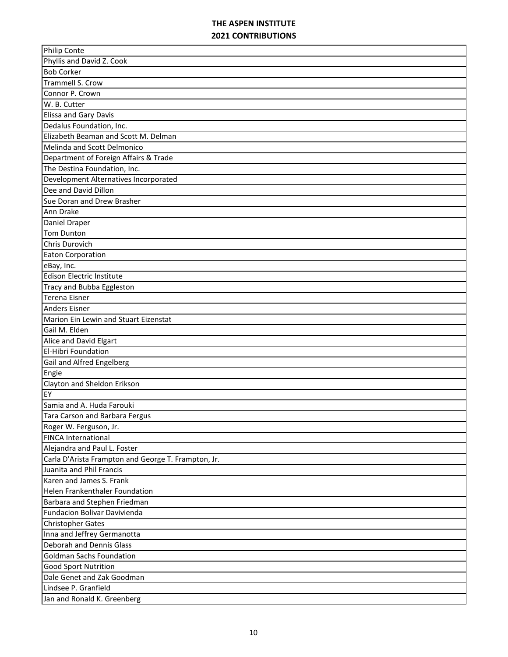| <b>Philip Conte</b>                                 |
|-----------------------------------------------------|
| Phyllis and David Z. Cook                           |
| <b>Bob Corker</b>                                   |
| <b>Trammell S. Crow</b>                             |
| Connor P. Crown                                     |
| W. B. Cutter                                        |
| Elissa and Gary Davis                               |
| Dedalus Foundation, Inc.                            |
| Elizabeth Beaman and Scott M. Delman                |
| Melinda and Scott Delmonico                         |
| Department of Foreign Affairs & Trade               |
| The Destina Foundation, Inc.                        |
| Development Alternatives Incorporated               |
| Dee and David Dillon                                |
| Sue Doran and Drew Brasher                          |
| Ann Drake                                           |
| Daniel Draper                                       |
| Tom Dunton                                          |
| Chris Durovich                                      |
| <b>Eaton Corporation</b>                            |
| eBay, Inc.                                          |
| Edison Electric Institute                           |
| <b>Tracy and Bubba Eggleston</b>                    |
| Terena Eisner                                       |
| <b>Anders Eisner</b>                                |
| Marion Ein Lewin and Stuart Eizenstat               |
| Gail M. Elden                                       |
| Alice and David Elgart                              |
| <b>El-Hibri Foundation</b>                          |
| Gail and Alfred Engelberg                           |
| Engie                                               |
| Clayton and Sheldon Erikson                         |
| EY                                                  |
| Samia and A. Huda Farouki                           |
| Tara Carson and Barbara Fergus                      |
| Roger W. Ferguson, Jr.                              |
| <b>FINCA International</b>                          |
| Alejandra and Paul L. Foster                        |
| Carla D'Arista Frampton and George T. Frampton, Jr. |
| Juanita and Phil Francis                            |
| Karen and James S. Frank                            |
| Helen Frankenthaler Foundation                      |
| Barbara and Stephen Friedman                        |
| Fundacion Bolivar Davivienda                        |
| Christopher Gates                                   |
| Inna and Jeffrey Germanotta                         |
| Deborah and Dennis Glass                            |
| <b>Goldman Sachs Foundation</b>                     |
| <b>Good Sport Nutrition</b>                         |
| Dale Genet and Zak Goodman                          |
| Lindsee P. Granfield                                |
| Jan and Ronald K. Greenberg                         |
|                                                     |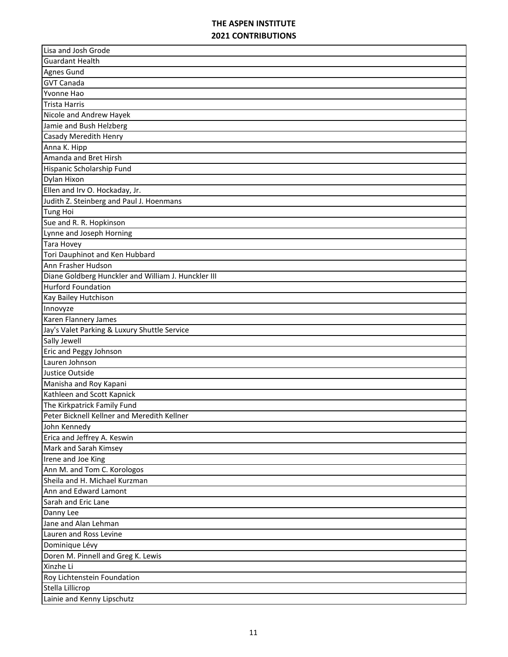| Lisa and Josh Grode                                 |
|-----------------------------------------------------|
| <b>Guardant Health</b>                              |
| <b>Agnes Gund</b>                                   |
| <b>GVT Canada</b>                                   |
| Yvonne Hao                                          |
| <b>Trista Harris</b>                                |
| Nicole and Andrew Hayek                             |
| Jamie and Bush Helzberg                             |
| Casady Meredith Henry                               |
| Anna K. Hipp                                        |
| Amanda and Bret Hirsh                               |
| Hispanic Scholarship Fund                           |
| Dylan Hixon                                         |
| Ellen and Irv O. Hockaday, Jr.                      |
| Judith Z. Steinberg and Paul J. Hoenmans            |
| <b>Tung Hoi</b>                                     |
| Sue and R. R. Hopkinson                             |
| Lynne and Joseph Horning                            |
| <b>Tara Hovey</b>                                   |
| Tori Dauphinot and Ken Hubbard                      |
| Ann Frasher Hudson                                  |
| Diane Goldberg Hunckler and William J. Hunckler III |
| <b>Hurford Foundation</b>                           |
| Kay Bailey Hutchison                                |
| Innovyze                                            |
| Karen Flannery James                                |
| Jay's Valet Parking & Luxury Shuttle Service        |
| Sally Jewell                                        |
| Eric and Peggy Johnson                              |
| Lauren Johnson                                      |
| Justice Outside                                     |
| Manisha and Roy Kapani                              |
| Kathleen and Scott Kapnick                          |
| The Kirkpatrick Family Fund                         |
| Peter Bicknell Kellner and Meredith Kellner         |
| John Kennedy                                        |
| Erica and Jeffrey A. Keswin                         |
| Mark and Sarah Kimsey                               |
| Irene and Joe King                                  |
| Ann M. and Tom C. Korologos                         |
| Sheila and H. Michael Kurzman                       |
| Ann and Edward Lamont                               |
| Sarah and Eric Lane                                 |
| Danny Lee                                           |
| Jane and Alan Lehman                                |
| Lauren and Ross Levine                              |
| Dominique Lévy                                      |
| Doren M. Pinnell and Greg K. Lewis                  |
| Xinzhe Li                                           |
| Roy Lichtenstein Foundation                         |
| Stella Lillicrop                                    |
| Lainie and Kenny Lipschutz                          |
|                                                     |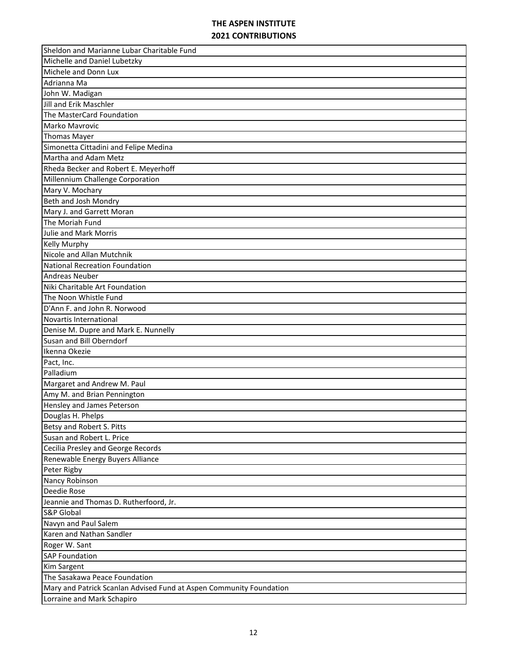| Sheldon and Marianne Lubar Charitable Fund                          |
|---------------------------------------------------------------------|
| Michelle and Daniel Lubetzky                                        |
| Michele and Donn Lux                                                |
| Adrianna Ma                                                         |
| John W. Madigan                                                     |
| Jill and Erik Maschler                                              |
| The MasterCard Foundation                                           |
| Marko Mavrovic                                                      |
| <b>Thomas Mayer</b>                                                 |
| Simonetta Cittadini and Felipe Medina                               |
| Martha and Adam Metz                                                |
| Rheda Becker and Robert E. Meyerhoff                                |
| Millennium Challenge Corporation                                    |
| Mary V. Mochary                                                     |
| Beth and Josh Mondry                                                |
| Mary J. and Garrett Moran                                           |
| The Moriah Fund                                                     |
| <b>Julie and Mark Morris</b>                                        |
| <b>Kelly Murphy</b>                                                 |
| Nicole and Allan Mutchnik                                           |
| <b>National Recreation Foundation</b>                               |
| <b>Andreas Neuber</b>                                               |
| Niki Charitable Art Foundation                                      |
| The Noon Whistle Fund                                               |
| D'Ann F. and John R. Norwood                                        |
| Novartis International                                              |
| Denise M. Dupre and Mark E. Nunnelly                                |
| Susan and Bill Oberndorf                                            |
| Ikenna Okezie                                                       |
| Pact, Inc.                                                          |
| Palladium                                                           |
| Margaret and Andrew M. Paul                                         |
| Amy M. and Brian Pennington                                         |
| Hensley and James Peterson                                          |
| Douglas H. Phelps                                                   |
| Betsy and Robert S. Pitts                                           |
| Susan and Robert L. Price                                           |
| Cecilia Presley and George Records                                  |
| Renewable Energy Buyers Alliance                                    |
| Peter Rigby                                                         |
| Nancy Robinson                                                      |
| Deedie Rose                                                         |
| Jeannie and Thomas D. Rutherfoord, Jr.                              |
| <b>S&amp;P Global</b>                                               |
|                                                                     |
| Navyn and Paul Salem                                                |
| Karen and Nathan Sandler                                            |
| Roger W. Sant                                                       |
| <b>SAP Foundation</b>                                               |
| Kim Sargent                                                         |
| The Sasakawa Peace Foundation                                       |
| Mary and Patrick Scanlan Advised Fund at Aspen Community Foundation |
| Lorraine and Mark Schapiro                                          |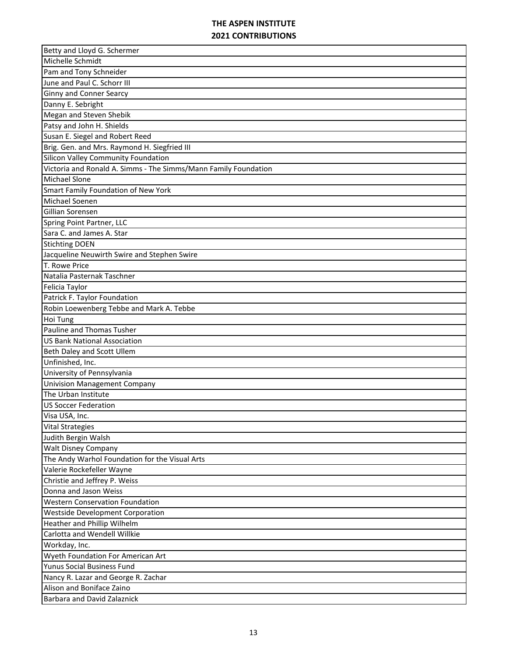| Betty and Lloyd G. Schermer                                     |
|-----------------------------------------------------------------|
| Michelle Schmidt                                                |
| Pam and Tony Schneider                                          |
| June and Paul C. Schorr III                                     |
| <b>Ginny and Conner Searcy</b>                                  |
| Danny E. Sebright                                               |
| Megan and Steven Shebik                                         |
| Patsy and John H. Shields                                       |
| Susan E. Siegel and Robert Reed                                 |
| Brig. Gen. and Mrs. Raymond H. Siegfried III                    |
| Silicon Valley Community Foundation                             |
| Victoria and Ronald A. Simms - The Simms/Mann Family Foundation |
| <b>Michael Slone</b>                                            |
| Smart Family Foundation of New York                             |
| Michael Soenen                                                  |
| Gillian Sorensen                                                |
| Spring Point Partner, LLC                                       |
| Sara C. and James A. Star                                       |
| <b>Stichting DOEN</b>                                           |
| Jacqueline Neuwirth Swire and Stephen Swire                     |
| T. Rowe Price                                                   |
| Natalia Pasternak Taschner                                      |
| Felicia Taylor                                                  |
| Patrick F. Taylor Foundation                                    |
| Robin Loewenberg Tebbe and Mark A. Tebbe                        |
| Hoi Tung                                                        |
| Pauline and Thomas Tusher                                       |
| <b>US Bank National Association</b>                             |
| Beth Daley and Scott Ullem                                      |
| Unfinished, Inc.                                                |
| University of Pennsylvania                                      |
| <b>Univision Management Company</b>                             |
| The Urban Institute                                             |
| <b>US Soccer Federation</b>                                     |
| Visa USA, Inc.                                                  |
| <b>Vital Strategies</b>                                         |
| Judith Bergin Walsh                                             |
| <b>Walt Disney Company</b>                                      |
| The Andy Warhol Foundation for the Visual Arts                  |
| Valerie Rockefeller Wayne                                       |
| Christie and Jeffrey P. Weiss                                   |
| Donna and Jason Weiss                                           |
| <b>Western Conservation Foundation</b>                          |
| Westside Development Corporation                                |
| Heather and Phillip Wilhelm                                     |
| Carlotta and Wendell Willkie                                    |
| Workday, Inc.                                                   |
| Wyeth Foundation For American Art                               |
| Yunus Social Business Fund                                      |
| Nancy R. Lazar and George R. Zachar                             |
| Alison and Boniface Zaino                                       |
| Barbara and David Zalaznick                                     |
|                                                                 |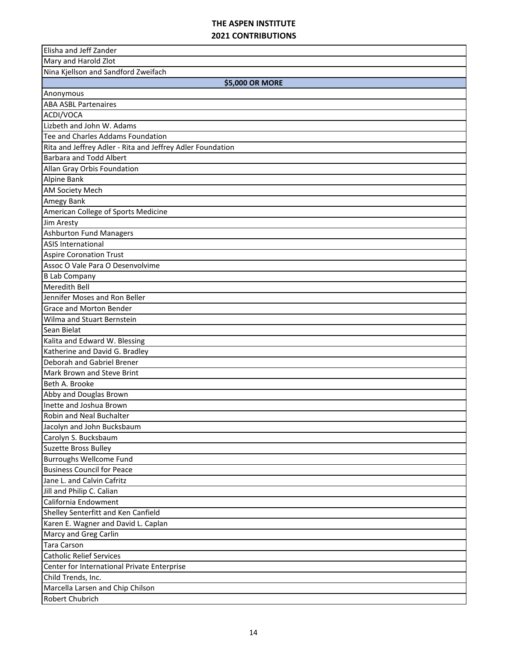| Elisha and Jeff Zander                                     |
|------------------------------------------------------------|
| Mary and Harold Zlot                                       |
| Nina Kjellson and Sandford Zweifach                        |
| \$5,000 OR MORE                                            |
| Anonymous                                                  |
| <b>ABA ASBL Partenaires</b>                                |
| ACDI/VOCA                                                  |
| Lizbeth and John W. Adams                                  |
| Tee and Charles Addams Foundation                          |
| Rita and Jeffrey Adler - Rita and Jeffrey Adler Foundation |
| <b>Barbara and Todd Albert</b>                             |
| Allan Gray Orbis Foundation                                |
| Alpine Bank                                                |
| AM Society Mech                                            |
| Amegy Bank                                                 |
| American College of Sports Medicine                        |
| Jim Aresty                                                 |
| <b>Ashburton Fund Managers</b>                             |
| <b>ASIS International</b>                                  |
| <b>Aspire Coronation Trust</b>                             |
| Assoc O Vale Para O Desenvolvime                           |
| <b>B Lab Company</b>                                       |
| <b>Meredith Bell</b>                                       |
| Jennifer Moses and Ron Beller                              |
| <b>Grace and Morton Bender</b>                             |
| Wilma and Stuart Bernstein                                 |
| Sean Bielat                                                |
| Kalita and Edward W. Blessing                              |
| Katherine and David G. Bradley                             |
| Deborah and Gabriel Brener                                 |
| Mark Brown and Steve Brint                                 |
| Beth A. Brooke                                             |
| Abby and Douglas Brown                                     |
| Inette and Joshua Brown                                    |
| Robin and Neal Buchalter                                   |
| Jacolyn and John Bucksbaum                                 |
| Carolyn S. Bucksbaum                                       |
| <b>Suzette Bross Bulley</b>                                |
| <b>Burroughs Wellcome Fund</b>                             |
| <b>Business Council for Peace</b>                          |
| Jane L. and Calvin Cafritz                                 |
| Jill and Philip C. Calian                                  |
| California Endowment                                       |
| Shelley Senterfitt and Ken Canfield                        |
| Karen E. Wagner and David L. Caplan                        |
| Marcy and Greg Carlin                                      |
| <b>Tara Carson</b>                                         |
| <b>Catholic Relief Services</b>                            |
| Center for International Private Enterprise                |
| Child Trends, Inc.                                         |
| Marcella Larsen and Chip Chilson                           |
| Robert Chubrich                                            |
|                                                            |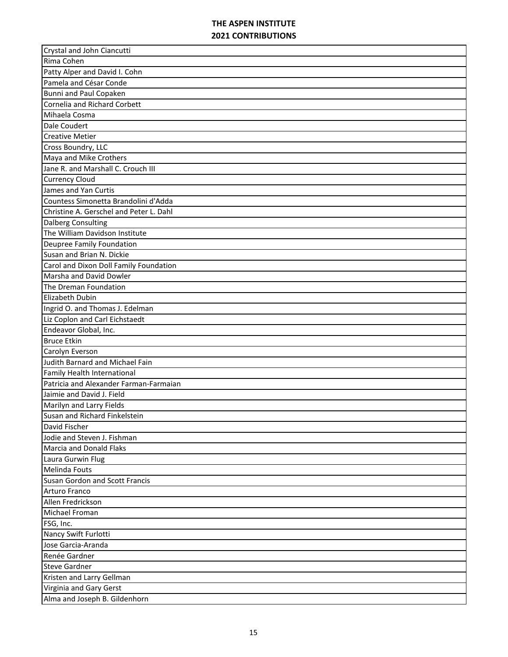| Crystal and John Ciancutti              |
|-----------------------------------------|
| Rima Cohen                              |
| Patty Alper and David I. Cohn           |
| Pamela and César Conde                  |
| Bunni and Paul Copaken                  |
| Cornelia and Richard Corbett            |
| Mihaela Cosma                           |
| Dale Coudert                            |
| <b>Creative Metier</b>                  |
| Cross Boundry, LLC                      |
| Maya and Mike Crothers                  |
| Jane R. and Marshall C. Crouch III      |
| <b>Currency Cloud</b>                   |
| James and Yan Curtis                    |
| Countess Simonetta Brandolini d'Adda    |
| Christine A. Gerschel and Peter L. Dahl |
| <b>Dalberg Consulting</b>               |
| The William Davidson Institute          |
| Deupree Family Foundation               |
| Susan and Brian N. Dickie               |
| Carol and Dixon Doll Family Foundation  |
| Marsha and David Dowler                 |
| The Dreman Foundation                   |
| Elizabeth Dubin                         |
| Ingrid O. and Thomas J. Edelman         |
| Liz Coplon and Carl Eichstaedt          |
| Endeavor Global, Inc.                   |
| <b>Bruce Etkin</b>                      |
| Carolyn Everson                         |
| Judith Barnard and Michael Fain         |
| Family Health International             |
| Patricia and Alexander Farman-Farmaian  |
| Jaimie and David J. Field               |
| Marilyn and Larry Fields                |
| Susan and Richard Finkelstein           |
| David Fischer                           |
| Jodie and Steven J. Fishman             |
| <b>Marcia and Donald Flaks</b>          |
| Laura Gurwin Flug                       |
| <b>Melinda Fouts</b>                    |
| <b>Susan Gordon and Scott Francis</b>   |
| Arturo Franco                           |
| Allen Fredrickson                       |
| Michael Froman                          |
| FSG, Inc.                               |
| Nancy Swift Furlotti                    |
| Jose Garcia-Aranda                      |
| Renée Gardner                           |
| <b>Steve Gardner</b>                    |
| Kristen and Larry Gellman               |
| Virginia and Gary Gerst                 |
| Alma and Joseph B. Gildenhorn           |
|                                         |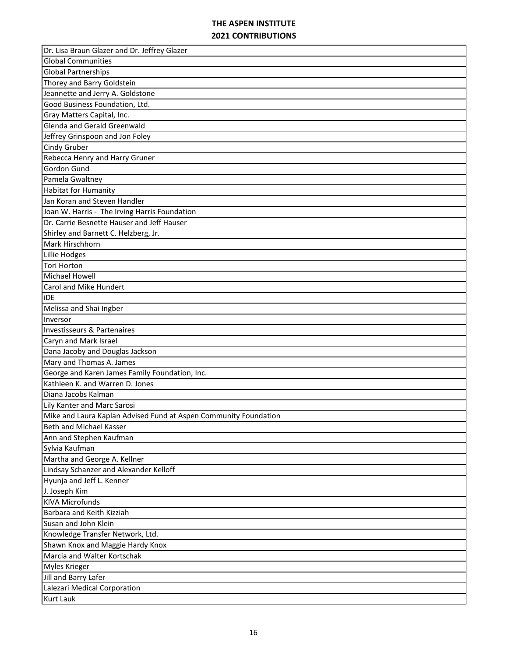| Dr. Lisa Braun Glazer and Dr. Jeffrey Glazer                     |
|------------------------------------------------------------------|
| <b>Global Communities</b>                                        |
| <b>Global Partnerships</b>                                       |
| Thorey and Barry Goldstein                                       |
| Jeannette and Jerry A. Goldstone                                 |
| Good Business Foundation, Ltd.                                   |
| Gray Matters Capital, Inc.                                       |
| Glenda and Gerald Greenwald                                      |
| Jeffrey Grinspoon and Jon Foley                                  |
| Cindy Gruber                                                     |
| Rebecca Henry and Harry Gruner                                   |
| Gordon Gund                                                      |
| Pamela Gwaltney                                                  |
| <b>Habitat for Humanity</b>                                      |
| Jan Koran and Steven Handler                                     |
| Joan W. Harris - The Irving Harris Foundation                    |
| Dr. Carrie Besnette Hauser and Jeff Hauser                       |
| Shirley and Barnett C. Helzberg, Jr.                             |
| Mark Hirschhorn                                                  |
| Lillie Hodges                                                    |
| <b>Tori Horton</b>                                               |
| <b>Michael Howell</b>                                            |
| Carol and Mike Hundert                                           |
| <b>iDE</b>                                                       |
| Melissa and Shai Ingber                                          |
| Inversor                                                         |
| Investisseurs & Partenaires                                      |
| Caryn and Mark Israel                                            |
| Dana Jacoby and Douglas Jackson                                  |
| Mary and Thomas A. James                                         |
| George and Karen James Family Foundation, Inc.                   |
| Kathleen K. and Warren D. Jones                                  |
| Diana Jacobs Kalman                                              |
| Lily Kanter and Marc Sarosi                                      |
| Mike and Laura Kaplan Advised Fund at Aspen Community Foundation |
| Beth and Michael Kasser                                          |
| Ann and Stephen Kaufman                                          |
| Sylvia Kaufman                                                   |
| Martha and George A. Kellner                                     |
| Lindsay Schanzer and Alexander Kelloff                           |
| Hyunja and Jeff L. Kenner                                        |
| J. Joseph Kim                                                    |
| <b>KIVA Microfunds</b>                                           |
|                                                                  |
| Barbara and Keith Kizziah                                        |
| Susan and John Klein                                             |
| Knowledge Transfer Network, Ltd.                                 |
| Shawn Knox and Maggie Hardy Knox                                 |
| Marcia and Walter Kortschak                                      |
| <b>Myles Krieger</b>                                             |
| Jill and Barry Lafer                                             |
| Lalezari Medical Corporation                                     |
| <b>Kurt Lauk</b>                                                 |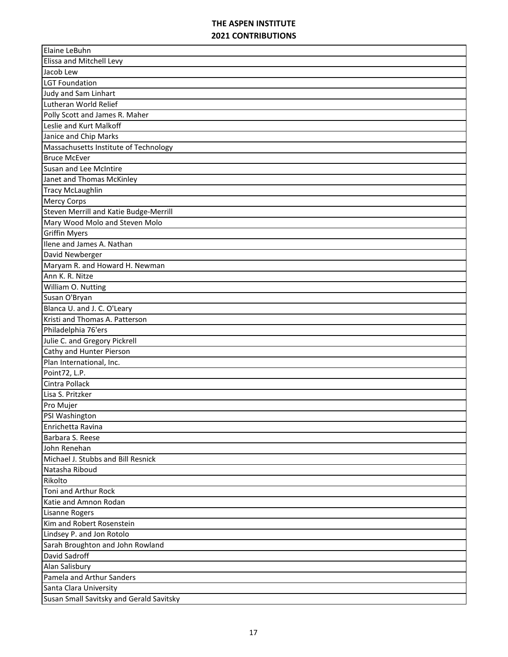| Elaine LeBuhn                            |
|------------------------------------------|
| Elissa and Mitchell Levy                 |
| Jacob Lew                                |
| <b>LGT Foundation</b>                    |
| Judy and Sam Linhart                     |
| Lutheran World Relief                    |
| Polly Scott and James R. Maher           |
| Leslie and Kurt Malkoff                  |
| Janice and Chip Marks                    |
| Massachusetts Institute of Technology    |
| <b>Bruce McEver</b>                      |
| Susan and Lee McIntire                   |
| Janet and Thomas McKinley                |
| <b>Tracy McLaughlin</b>                  |
| <b>Mercy Corps</b>                       |
| Steven Merrill and Katie Budge-Merrill   |
| Mary Wood Molo and Steven Molo           |
| <b>Griffin Myers</b>                     |
| Ilene and James A. Nathan                |
| David Newberger                          |
| Maryam R. and Howard H. Newman           |
| Ann K. R. Nitze                          |
| William O. Nutting                       |
| Susan O'Bryan                            |
| Blanca U. and J. C. O'Leary              |
| Kristi and Thomas A. Patterson           |
| Philadelphia 76'ers                      |
| Julie C. and Gregory Pickrell            |
| Cathy and Hunter Pierson                 |
| Plan International, Inc.                 |
| Point72, L.P.                            |
| Cintra Pollack                           |
| Lisa S. Pritzker                         |
| Pro Mujer                                |
| PSI Washington                           |
| Enrichetta Ravina                        |
| Barbara S. Reese                         |
| John Renehan                             |
| Michael J. Stubbs and Bill Resnick       |
| Natasha Riboud                           |
| Rikolto                                  |
| Toni and Arthur Rock                     |
| Katie and Amnon Rodan                    |
| <b>Lisanne Rogers</b>                    |
| Kim and Robert Rosenstein                |
| Lindsey P. and Jon Rotolo                |
| Sarah Broughton and John Rowland         |
| David Sadroff                            |
| Alan Salisbury                           |
| Pamela and Arthur Sanders                |
| Santa Clara University                   |
| Susan Small Savitsky and Gerald Savitsky |
|                                          |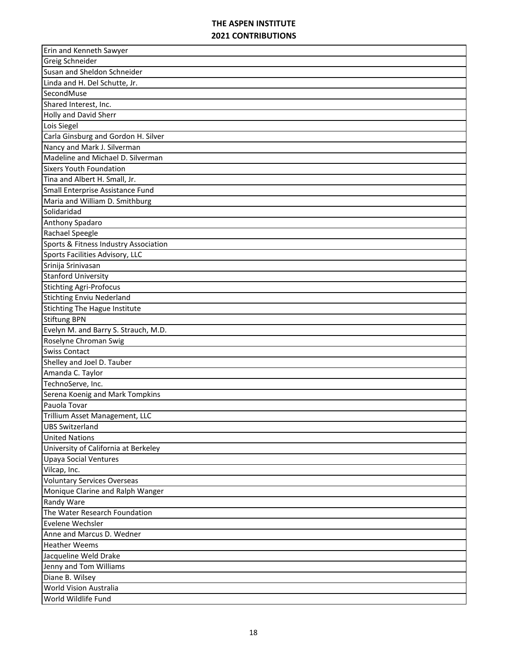| Erin and Kenneth Sawyer               |
|---------------------------------------|
| Greig Schneider                       |
| Susan and Sheldon Schneider           |
| Linda and H. Del Schutte, Jr.         |
| SecondMuse                            |
| Shared Interest, Inc.                 |
| Holly and David Sherr                 |
| Lois Siegel                           |
| Carla Ginsburg and Gordon H. Silver   |
| Nancy and Mark J. Silverman           |
| Madeline and Michael D. Silverman     |
| <b>Sixers Youth Foundation</b>        |
| Tina and Albert H. Small, Jr.         |
| Small Enterprise Assistance Fund      |
| Maria and William D. Smithburg        |
| Solidaridad                           |
| Anthony Spadaro                       |
| Rachael Speegle                       |
| Sports & Fitness Industry Association |
| Sports Facilities Advisory, LLC       |
| Srinija Srinivasan                    |
| <b>Stanford University</b>            |
| <b>Stichting Agri-Profocus</b>        |
| <b>Stichting Enviu Nederland</b>      |
| <b>Stichting The Hague Institute</b>  |
| <b>Stiftung BPN</b>                   |
| Evelyn M. and Barry S. Strauch, M.D.  |
| Roselyne Chroman Swig                 |
| <b>Swiss Contact</b>                  |
| Shelley and Joel D. Tauber            |
| Amanda C. Taylor                      |
| TechnoServe, Inc.                     |
| Serena Koenig and Mark Tompkins       |
| Pauola Tovar                          |
| Trillium Asset Management, LLC        |
| <b>UBS Switzerland</b>                |
| <b>United Nations</b>                 |
| University of California at Berkeley  |
| <b>Upaya Social Ventures</b>          |
| Vilcap, Inc.                          |
| <b>Voluntary Services Overseas</b>    |
| Monique Clarine and Ralph Wanger      |
| <b>Randy Ware</b>                     |
| The Water Research Foundation         |
| Evelene Wechsler                      |
| Anne and Marcus D. Wedner             |
| <b>Heather Weems</b>                  |
| Jacqueline Weld Drake                 |
| Jenny and Tom Williams                |
| Diane B. Wilsey                       |
| World Vision Australia                |
| World Wildlife Fund                   |
|                                       |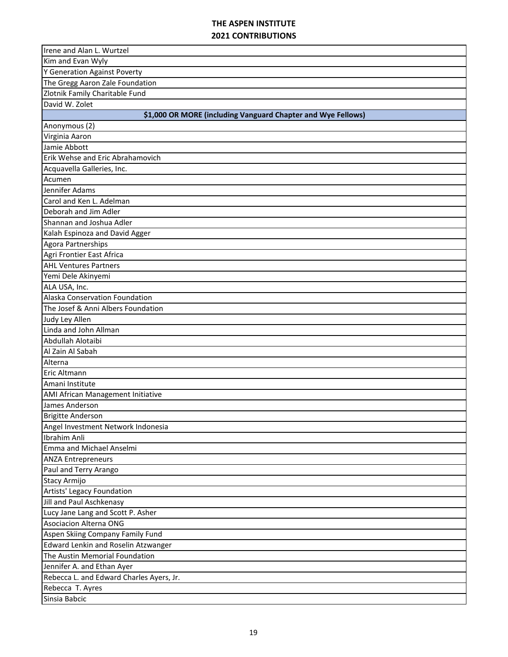| Irene and Alan L. Wurtzel                                    |
|--------------------------------------------------------------|
| Kim and Evan Wyly                                            |
| Y Generation Against Poverty                                 |
| The Gregg Aaron Zale Foundation                              |
| Zlotnik Family Charitable Fund                               |
| David W. Zolet                                               |
| \$1,000 OR MORE (including Vanguard Chapter and Wye Fellows) |
| Anonymous (2)                                                |
| Virginia Aaron                                               |
| Jamie Abbott                                                 |
| Erik Wehse and Eric Abrahamovich                             |
| Acquavella Galleries, Inc.                                   |
| Acumen                                                       |
| Jennifer Adams                                               |
| Carol and Ken L. Adelman                                     |
| Deborah and Jim Adler                                        |
| Shannan and Joshua Adler                                     |
| Kalah Espinoza and David Agger                               |
| Agora Partnerships                                           |
| Agri Frontier East Africa                                    |
| <b>AHL Ventures Partners</b>                                 |
| Yemi Dele Akinyemi                                           |
| ALA USA, Inc.                                                |
| Alaska Conservation Foundation                               |
| The Josef & Anni Albers Foundation                           |
| Judy Ley Allen                                               |
| Linda and John Allman                                        |
| Abdullah Alotaibi                                            |
| Al Zain Al Sabah                                             |
| Alterna                                                      |
| <b>Eric Altmann</b>                                          |
| Amani Institute                                              |
| AMI African Management Initiative                            |
| James Anderson                                               |
| <b>Brigitte Anderson</b>                                     |
| Angel Investment Network Indonesia                           |
| Ibrahim Anli                                                 |
| Emma and Michael Anselmi                                     |
| <b>ANZA Entrepreneurs</b>                                    |
| Paul and Terry Arango                                        |
| <b>Stacy Armijo</b>                                          |
| Artists' Legacy Foundation                                   |
| Jill and Paul Aschkenasy                                     |
| Lucy Jane Lang and Scott P. Asher                            |
| <b>Asociacion Alterna ONG</b>                                |
| Aspen Skiing Company Family Fund                             |
| <b>Edward Lenkin and Roselin Atzwanger</b>                   |
| The Austin Memorial Foundation                               |
| Jennifer A. and Ethan Ayer                                   |
| Rebecca L. and Edward Charles Ayers, Jr.                     |
| Rebecca T. Ayres                                             |
| Sinsia Babcic                                                |
|                                                              |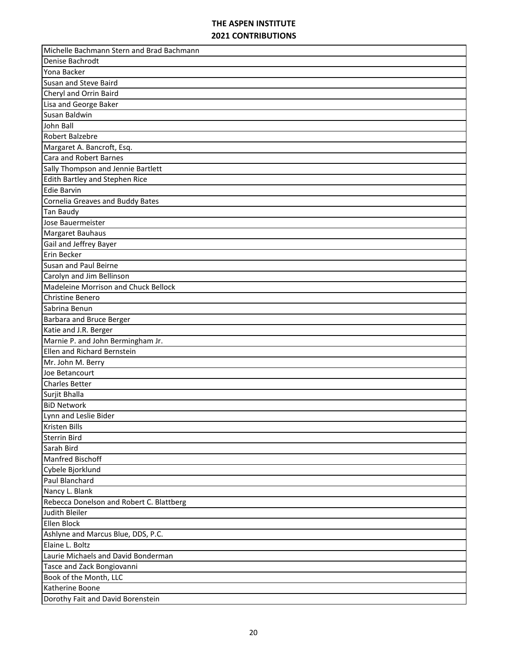| Michelle Bachmann Stern and Brad Bachmann |
|-------------------------------------------|
| Denise Bachrodt                           |
| Yona Backer                               |
| Susan and Steve Baird                     |
| Cheryl and Orrin Baird                    |
| Lisa and George Baker                     |
| Susan Baldwin                             |
| John Ball                                 |
| Robert Balzebre                           |
| Margaret A. Bancroft, Esq.                |
| <b>Cara and Robert Barnes</b>             |
| Sally Thompson and Jennie Bartlett        |
| Edith Bartley and Stephen Rice            |
| <b>Edie Barvin</b>                        |
| Cornelia Greaves and Buddy Bates          |
| Tan Baudy                                 |
| Jose Bauermeister                         |
| Margaret Bauhaus                          |
| Gail and Jeffrey Bayer                    |
| Erin Becker                               |
| Susan and Paul Beirne                     |
| Carolyn and Jim Bellinson                 |
| Madeleine Morrison and Chuck Bellock      |
| Christine Benero                          |
| Sabrina Benun                             |
| Barbara and Bruce Berger                  |
| Katie and J.R. Berger                     |
| Marnie P. and John Bermingham Jr.         |
| Ellen and Richard Bernstein               |
| Mr. John M. Berry                         |
| Joe Betancourt                            |
| <b>Charles Better</b>                     |
| Surjit Bhalla                             |
| <b>BiD Network</b>                        |
| Lynn and Leslie Bider                     |
| Kristen Bills                             |
| Sterrin Bird                              |
| Sarah Bird                                |
| Manfred Bischoff                          |
| Cybele Bjorklund                          |
| Paul Blanchard                            |
| Nancy L. Blank                            |
| Rebecca Donelson and Robert C. Blattberg  |
| Judith Bleiler                            |
| Ellen Block                               |
| Ashlyne and Marcus Blue, DDS, P.C.        |
| Elaine L. Boltz                           |
| Laurie Michaels and David Bonderman       |
| Tasce and Zack Bongiovanni                |
| Book of the Month, LLC                    |
| Katherine Boone                           |
|                                           |
| Dorothy Fait and David Borenstein         |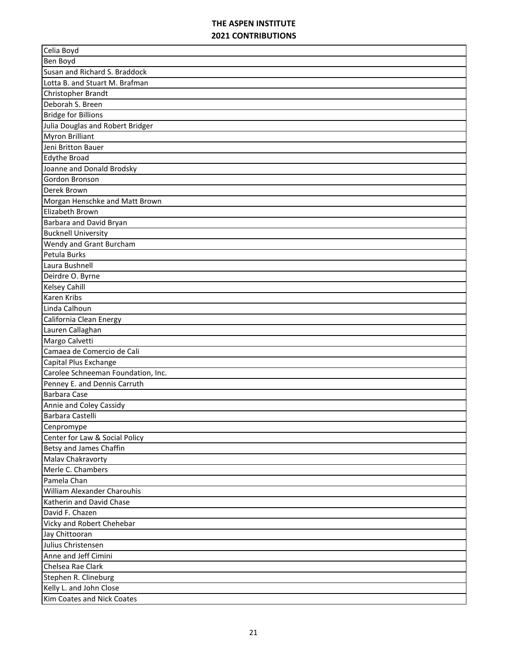| Celia Boyd                         |
|------------------------------------|
| Ben Boyd                           |
| Susan and Richard S. Braddock      |
| Lotta B. and Stuart M. Brafman     |
| Christopher Brandt                 |
| Deborah S. Breen                   |
| <b>Bridge for Billions</b>         |
| Julia Douglas and Robert Bridger   |
| <b>Myron Brilliant</b>             |
| Jeni Britton Bauer                 |
| <b>Edythe Broad</b>                |
| Joanne and Donald Brodsky          |
| Gordon Bronson                     |
| Derek Brown                        |
| Morgan Henschke and Matt Brown     |
| Elizabeth Brown                    |
| Barbara and David Bryan            |
| <b>Bucknell University</b>         |
| Wendy and Grant Burcham            |
| Petula Burks                       |
| Laura Bushnell                     |
| Deirdre O. Byrne                   |
| <b>Kelsey Cahill</b>               |
| <b>Karen Kribs</b>                 |
| Linda Calhoun                      |
| California Clean Energy            |
| Lauren Callaghan                   |
| Margo Calvetti                     |
| Camaea de Comercio de Cali         |
| Capital Plus Exchange              |
| Carolee Schneeman Foundation, Inc. |
| Penney E. and Dennis Carruth       |
| <b>Barbara Case</b>                |
| Annie and Coley Cassidy            |
| Barbara Castelli                   |
| Cenpromype                         |
| Center for Law & Social Policy     |
| Betsy and James Chaffin            |
| Malav Chakravorty                  |
| Merle C. Chambers                  |
| Pamela Chan                        |
| <b>William Alexander Charouhis</b> |
| Katherin and David Chase           |
| David F. Chazen                    |
| Vicky and Robert Chehebar          |
| Jay Chittooran                     |
| Julius Christensen                 |
| Anne and Jeff Cimini               |
| Chelsea Rae Clark                  |
| Stephen R. Clineburg               |
| Kelly L. and John Close            |
| Kim Coates and Nick Coates         |
|                                    |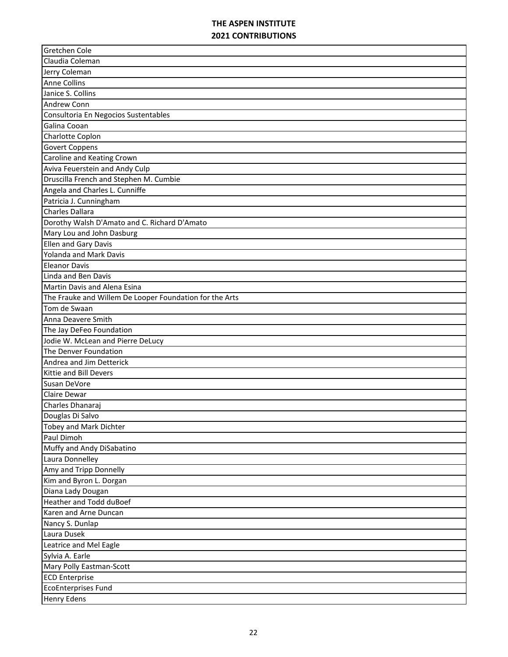| Jodie W. McLean and Pierre DeLucy<br>Leatrice and Mel Eagle | Claudia Coleman<br>Jerry Coleman<br><b>Anne Collins</b><br>Janice S. Collins<br><b>Andrew Conn</b><br>Consultoria En Negocios Sustentables<br>Galina Cooan<br>Charlotte Coplon<br><b>Govert Coppens</b><br>Caroline and Keating Crown<br>Aviva Feuerstein and Andy Culp<br>Druscilla French and Stephen M. Cumbie<br>Angela and Charles L. Cunniffe<br>Patricia J. Cunningham<br>Charles Dallara<br>Dorothy Walsh D'Amato and C. Richard D'Amato<br>Mary Lou and John Dasburg<br>Ellen and Gary Davis<br><b>Yolanda and Mark Davis</b><br><b>Eleanor Davis</b><br>Linda and Ben Davis<br><b>Martin Davis and Alena Esina</b><br>The Frauke and Willem De Looper Foundation for the Arts<br>Tom de Swaan<br>Anna Deavere Smith<br>The Jay DeFeo Foundation<br>The Denver Foundation<br>Andrea and Jim Detterick<br>Kittie and Bill Devers<br>Susan DeVore<br><b>Claire Dewar</b><br>Charles Dhanaraj<br>Douglas Di Salvo<br>Tobey and Mark Dichter<br>Paul Dimoh<br>Muffy and Andy DiSabatino<br>Laura Donnelley<br>Amy and Tripp Donnelly<br>Kim and Byron L. Dorgan<br>Diana Lady Dougan<br><b>Heather and Todd duBoef</b><br>Karen and Arne Duncan<br>Nancy S. Dunlap<br>Laura Dusek<br>Sylvia A. Earle<br>Mary Polly Eastman-Scott | Gretchen Cole         |
|-------------------------------------------------------------|---------------------------------------------------------------------------------------------------------------------------------------------------------------------------------------------------------------------------------------------------------------------------------------------------------------------------------------------------------------------------------------------------------------------------------------------------------------------------------------------------------------------------------------------------------------------------------------------------------------------------------------------------------------------------------------------------------------------------------------------------------------------------------------------------------------------------------------------------------------------------------------------------------------------------------------------------------------------------------------------------------------------------------------------------------------------------------------------------------------------------------------------------------------------------------------------------------------------------------------|-----------------------|
|                                                             |                                                                                                                                                                                                                                                                                                                                                                                                                                                                                                                                                                                                                                                                                                                                                                                                                                                                                                                                                                                                                                                                                                                                                                                                                                       |                       |
|                                                             |                                                                                                                                                                                                                                                                                                                                                                                                                                                                                                                                                                                                                                                                                                                                                                                                                                                                                                                                                                                                                                                                                                                                                                                                                                       |                       |
|                                                             |                                                                                                                                                                                                                                                                                                                                                                                                                                                                                                                                                                                                                                                                                                                                                                                                                                                                                                                                                                                                                                                                                                                                                                                                                                       |                       |
|                                                             |                                                                                                                                                                                                                                                                                                                                                                                                                                                                                                                                                                                                                                                                                                                                                                                                                                                                                                                                                                                                                                                                                                                                                                                                                                       |                       |
|                                                             |                                                                                                                                                                                                                                                                                                                                                                                                                                                                                                                                                                                                                                                                                                                                                                                                                                                                                                                                                                                                                                                                                                                                                                                                                                       |                       |
|                                                             |                                                                                                                                                                                                                                                                                                                                                                                                                                                                                                                                                                                                                                                                                                                                                                                                                                                                                                                                                                                                                                                                                                                                                                                                                                       |                       |
|                                                             |                                                                                                                                                                                                                                                                                                                                                                                                                                                                                                                                                                                                                                                                                                                                                                                                                                                                                                                                                                                                                                                                                                                                                                                                                                       |                       |
|                                                             |                                                                                                                                                                                                                                                                                                                                                                                                                                                                                                                                                                                                                                                                                                                                                                                                                                                                                                                                                                                                                                                                                                                                                                                                                                       |                       |
|                                                             |                                                                                                                                                                                                                                                                                                                                                                                                                                                                                                                                                                                                                                                                                                                                                                                                                                                                                                                                                                                                                                                                                                                                                                                                                                       |                       |
|                                                             |                                                                                                                                                                                                                                                                                                                                                                                                                                                                                                                                                                                                                                                                                                                                                                                                                                                                                                                                                                                                                                                                                                                                                                                                                                       |                       |
|                                                             |                                                                                                                                                                                                                                                                                                                                                                                                                                                                                                                                                                                                                                                                                                                                                                                                                                                                                                                                                                                                                                                                                                                                                                                                                                       |                       |
|                                                             |                                                                                                                                                                                                                                                                                                                                                                                                                                                                                                                                                                                                                                                                                                                                                                                                                                                                                                                                                                                                                                                                                                                                                                                                                                       |                       |
|                                                             |                                                                                                                                                                                                                                                                                                                                                                                                                                                                                                                                                                                                                                                                                                                                                                                                                                                                                                                                                                                                                                                                                                                                                                                                                                       |                       |
|                                                             |                                                                                                                                                                                                                                                                                                                                                                                                                                                                                                                                                                                                                                                                                                                                                                                                                                                                                                                                                                                                                                                                                                                                                                                                                                       |                       |
|                                                             |                                                                                                                                                                                                                                                                                                                                                                                                                                                                                                                                                                                                                                                                                                                                                                                                                                                                                                                                                                                                                                                                                                                                                                                                                                       |                       |
|                                                             |                                                                                                                                                                                                                                                                                                                                                                                                                                                                                                                                                                                                                                                                                                                                                                                                                                                                                                                                                                                                                                                                                                                                                                                                                                       |                       |
|                                                             |                                                                                                                                                                                                                                                                                                                                                                                                                                                                                                                                                                                                                                                                                                                                                                                                                                                                                                                                                                                                                                                                                                                                                                                                                                       |                       |
|                                                             |                                                                                                                                                                                                                                                                                                                                                                                                                                                                                                                                                                                                                                                                                                                                                                                                                                                                                                                                                                                                                                                                                                                                                                                                                                       |                       |
|                                                             |                                                                                                                                                                                                                                                                                                                                                                                                                                                                                                                                                                                                                                                                                                                                                                                                                                                                                                                                                                                                                                                                                                                                                                                                                                       |                       |
|                                                             |                                                                                                                                                                                                                                                                                                                                                                                                                                                                                                                                                                                                                                                                                                                                                                                                                                                                                                                                                                                                                                                                                                                                                                                                                                       |                       |
|                                                             |                                                                                                                                                                                                                                                                                                                                                                                                                                                                                                                                                                                                                                                                                                                                                                                                                                                                                                                                                                                                                                                                                                                                                                                                                                       |                       |
|                                                             |                                                                                                                                                                                                                                                                                                                                                                                                                                                                                                                                                                                                                                                                                                                                                                                                                                                                                                                                                                                                                                                                                                                                                                                                                                       |                       |
|                                                             |                                                                                                                                                                                                                                                                                                                                                                                                                                                                                                                                                                                                                                                                                                                                                                                                                                                                                                                                                                                                                                                                                                                                                                                                                                       |                       |
|                                                             |                                                                                                                                                                                                                                                                                                                                                                                                                                                                                                                                                                                                                                                                                                                                                                                                                                                                                                                                                                                                                                                                                                                                                                                                                                       |                       |
|                                                             |                                                                                                                                                                                                                                                                                                                                                                                                                                                                                                                                                                                                                                                                                                                                                                                                                                                                                                                                                                                                                                                                                                                                                                                                                                       |                       |
|                                                             |                                                                                                                                                                                                                                                                                                                                                                                                                                                                                                                                                                                                                                                                                                                                                                                                                                                                                                                                                                                                                                                                                                                                                                                                                                       |                       |
|                                                             |                                                                                                                                                                                                                                                                                                                                                                                                                                                                                                                                                                                                                                                                                                                                                                                                                                                                                                                                                                                                                                                                                                                                                                                                                                       |                       |
|                                                             |                                                                                                                                                                                                                                                                                                                                                                                                                                                                                                                                                                                                                                                                                                                                                                                                                                                                                                                                                                                                                                                                                                                                                                                                                                       |                       |
|                                                             |                                                                                                                                                                                                                                                                                                                                                                                                                                                                                                                                                                                                                                                                                                                                                                                                                                                                                                                                                                                                                                                                                                                                                                                                                                       |                       |
|                                                             |                                                                                                                                                                                                                                                                                                                                                                                                                                                                                                                                                                                                                                                                                                                                                                                                                                                                                                                                                                                                                                                                                                                                                                                                                                       |                       |
|                                                             |                                                                                                                                                                                                                                                                                                                                                                                                                                                                                                                                                                                                                                                                                                                                                                                                                                                                                                                                                                                                                                                                                                                                                                                                                                       |                       |
|                                                             |                                                                                                                                                                                                                                                                                                                                                                                                                                                                                                                                                                                                                                                                                                                                                                                                                                                                                                                                                                                                                                                                                                                                                                                                                                       |                       |
|                                                             |                                                                                                                                                                                                                                                                                                                                                                                                                                                                                                                                                                                                                                                                                                                                                                                                                                                                                                                                                                                                                                                                                                                                                                                                                                       |                       |
|                                                             |                                                                                                                                                                                                                                                                                                                                                                                                                                                                                                                                                                                                                                                                                                                                                                                                                                                                                                                                                                                                                                                                                                                                                                                                                                       |                       |
|                                                             |                                                                                                                                                                                                                                                                                                                                                                                                                                                                                                                                                                                                                                                                                                                                                                                                                                                                                                                                                                                                                                                                                                                                                                                                                                       |                       |
|                                                             |                                                                                                                                                                                                                                                                                                                                                                                                                                                                                                                                                                                                                                                                                                                                                                                                                                                                                                                                                                                                                                                                                                                                                                                                                                       |                       |
|                                                             |                                                                                                                                                                                                                                                                                                                                                                                                                                                                                                                                                                                                                                                                                                                                                                                                                                                                                                                                                                                                                                                                                                                                                                                                                                       |                       |
|                                                             |                                                                                                                                                                                                                                                                                                                                                                                                                                                                                                                                                                                                                                                                                                                                                                                                                                                                                                                                                                                                                                                                                                                                                                                                                                       |                       |
|                                                             |                                                                                                                                                                                                                                                                                                                                                                                                                                                                                                                                                                                                                                                                                                                                                                                                                                                                                                                                                                                                                                                                                                                                                                                                                                       |                       |
|                                                             |                                                                                                                                                                                                                                                                                                                                                                                                                                                                                                                                                                                                                                                                                                                                                                                                                                                                                                                                                                                                                                                                                                                                                                                                                                       |                       |
|                                                             |                                                                                                                                                                                                                                                                                                                                                                                                                                                                                                                                                                                                                                                                                                                                                                                                                                                                                                                                                                                                                                                                                                                                                                                                                                       |                       |
|                                                             |                                                                                                                                                                                                                                                                                                                                                                                                                                                                                                                                                                                                                                                                                                                                                                                                                                                                                                                                                                                                                                                                                                                                                                                                                                       |                       |
|                                                             |                                                                                                                                                                                                                                                                                                                                                                                                                                                                                                                                                                                                                                                                                                                                                                                                                                                                                                                                                                                                                                                                                                                                                                                                                                       |                       |
|                                                             |                                                                                                                                                                                                                                                                                                                                                                                                                                                                                                                                                                                                                                                                                                                                                                                                                                                                                                                                                                                                                                                                                                                                                                                                                                       |                       |
|                                                             |                                                                                                                                                                                                                                                                                                                                                                                                                                                                                                                                                                                                                                                                                                                                                                                                                                                                                                                                                                                                                                                                                                                                                                                                                                       |                       |
|                                                             |                                                                                                                                                                                                                                                                                                                                                                                                                                                                                                                                                                                                                                                                                                                                                                                                                                                                                                                                                                                                                                                                                                                                                                                                                                       |                       |
|                                                             |                                                                                                                                                                                                                                                                                                                                                                                                                                                                                                                                                                                                                                                                                                                                                                                                                                                                                                                                                                                                                                                                                                                                                                                                                                       |                       |
|                                                             |                                                                                                                                                                                                                                                                                                                                                                                                                                                                                                                                                                                                                                                                                                                                                                                                                                                                                                                                                                                                                                                                                                                                                                                                                                       |                       |
|                                                             |                                                                                                                                                                                                                                                                                                                                                                                                                                                                                                                                                                                                                                                                                                                                                                                                                                                                                                                                                                                                                                                                                                                                                                                                                                       |                       |
|                                                             |                                                                                                                                                                                                                                                                                                                                                                                                                                                                                                                                                                                                                                                                                                                                                                                                                                                                                                                                                                                                                                                                                                                                                                                                                                       | <b>ECD Enterprise</b> |
|                                                             | <b>EcoEnterprises Fund</b>                                                                                                                                                                                                                                                                                                                                                                                                                                                                                                                                                                                                                                                                                                                                                                                                                                                                                                                                                                                                                                                                                                                                                                                                            |                       |
|                                                             | <b>Henry Edens</b>                                                                                                                                                                                                                                                                                                                                                                                                                                                                                                                                                                                                                                                                                                                                                                                                                                                                                                                                                                                                                                                                                                                                                                                                                    |                       |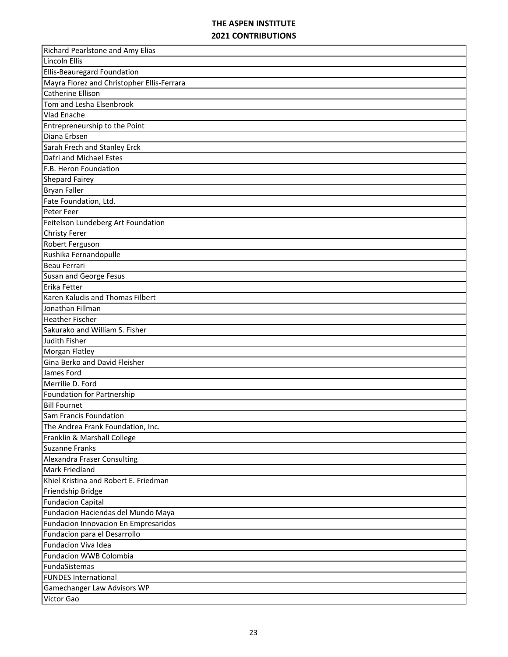| <b>Richard Pearlstone and Amy Elias</b>    |
|--------------------------------------------|
| Lincoln Ellis                              |
| Ellis-Beauregard Foundation                |
| Mayra Florez and Christopher Ellis-Ferrara |
| <b>Catherine Ellison</b>                   |
| Tom and Lesha Elsenbrook                   |
| <b>Vlad Enache</b>                         |
| Entrepreneurship to the Point              |
| Diana Erbsen                               |
| Sarah Frech and Stanley Erck               |
| Dafri and Michael Estes                    |
| F.B. Heron Foundation                      |
| <b>Shepard Fairey</b>                      |
| <b>Bryan Faller</b>                        |
| Fate Foundation, Ltd.                      |
| Peter Feer                                 |
| Feitelson Lundeberg Art Foundation         |
| <b>Christy Ferer</b>                       |
| Robert Ferguson                            |
| Rushika Fernandopulle                      |
| Beau Ferrari                               |
| Susan and George Fesus                     |
| Erika Fetter                               |
| Karen Kaludis and Thomas Filbert           |
| Jonathan Fillman                           |
| <b>Heather Fischer</b>                     |
| Sakurako and William S. Fisher             |
| Judith Fisher                              |
| Morgan Flatley                             |
| Gina Berko and David Fleisher              |
| James Ford                                 |
| Merrilie D. Ford                           |
| Foundation for Partnership                 |
| <b>Bill Fournet</b>                        |
| <b>Sam Francis Foundation</b>              |
| The Andrea Frank Foundation, Inc.          |
| Franklin & Marshall College                |
| <b>Suzanne Franks</b>                      |
| Alexandra Fraser Consulting                |
| <b>Mark Friedland</b>                      |
| Khiel Kristina and Robert E. Friedman      |
| Friendship Bridge                          |
| <b>Fundacion Capital</b>                   |
| Fundacion Haciendas del Mundo Maya         |
| Fundacion Innovacion En Empresaridos       |
| Fundacion para el Desarrollo               |
| Fundacion Viva Idea                        |
| Fundacion WWB Colombia                     |
|                                            |
| FundaSistemas                              |
| <b>FUNDES International</b>                |
| Gamechanger Law Advisors WP                |
| Victor Gao                                 |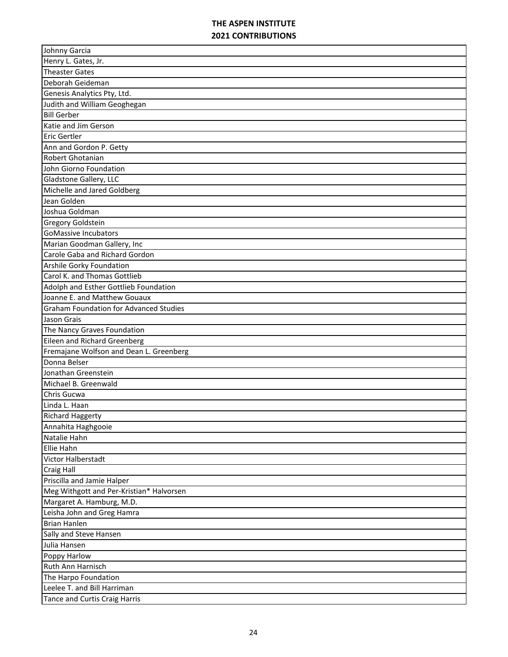| Johnny Garcia                                                |
|--------------------------------------------------------------|
| Henry L. Gates, Jr.                                          |
| <b>Theaster Gates</b>                                        |
| Deborah Geideman                                             |
| Genesis Analytics Pty, Ltd.                                  |
| Judith and William Geoghegan                                 |
| <b>Bill Gerber</b>                                           |
| Katie and Jim Gerson                                         |
| <b>Eric Gertler</b>                                          |
| Ann and Gordon P. Getty                                      |
| Robert Ghotanian                                             |
| John Giorno Foundation                                       |
| Gladstone Gallery, LLC                                       |
| Michelle and Jared Goldberg                                  |
| Jean Golden                                                  |
| Joshua Goldman                                               |
| <b>Gregory Goldstein</b>                                     |
| <b>GoMassive Incubators</b>                                  |
| Marian Goodman Gallery, Inc                                  |
| Carole Gaba and Richard Gordon                               |
| Arshile Gorky Foundation                                     |
| Carol K. and Thomas Gottlieb                                 |
| Adolph and Esther Gottlieb Foundation                        |
| Joanne E. and Matthew Gouaux                                 |
| <b>Graham Foundation for Advanced Studies</b>                |
| Jason Grais                                                  |
|                                                              |
| The Nancy Graves Foundation                                  |
| Eileen and Richard Greenberg                                 |
| Fremajane Wolfson and Dean L. Greenberg                      |
| Donna Belser                                                 |
| Jonathan Greenstein                                          |
| Michael B. Greenwald                                         |
| Chris Gucwa                                                  |
| Linda L. Haan                                                |
| <b>Richard Haggerty</b>                                      |
| Annahita Haghgooie                                           |
| Natalie Hahn                                                 |
| Ellie Hahn                                                   |
| Victor Halberstadt                                           |
| <b>Craig Hall</b>                                            |
| Priscilla and Jamie Halper                                   |
| Meg Withgott and Per-Kristian* Halvorsen                     |
| Margaret A. Hamburg, M.D.                                    |
| Leisha John and Greg Hamra                                   |
| <b>Brian Hanlen</b>                                          |
| Sally and Steve Hansen                                       |
| Julia Hansen                                                 |
| Poppy Harlow                                                 |
| Ruth Ann Harnisch                                            |
| The Harpo Foundation                                         |
| Leelee T. and Bill Harriman<br>Tance and Curtis Craig Harris |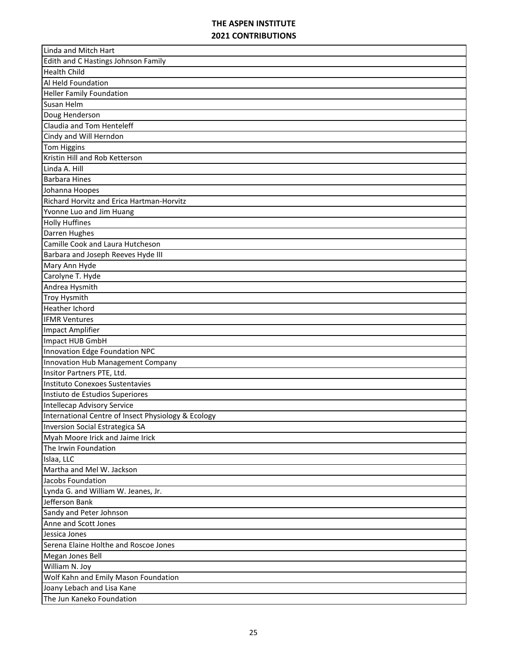| Linda and Mitch Hart                                |
|-----------------------------------------------------|
| Edith and C Hastings Johnson Family                 |
| <b>Health Child</b>                                 |
| Al Held Foundation                                  |
| <b>Heller Family Foundation</b>                     |
| Susan Helm                                          |
| Doug Henderson                                      |
| Claudia and Tom Henteleff                           |
| Cindy and Will Herndon                              |
| <b>Tom Higgins</b>                                  |
| Kristin Hill and Rob Ketterson                      |
| Linda A. Hill                                       |
| <b>Barbara Hines</b>                                |
| Johanna Hoopes                                      |
| Richard Horvitz and Erica Hartman-Horvitz           |
| Yvonne Luo and Jim Huang                            |
| <b>Holly Huffines</b>                               |
| Darren Hughes                                       |
| Camille Cook and Laura Hutcheson                    |
| Barbara and Joseph Reeves Hyde III                  |
| Mary Ann Hyde                                       |
| Carolyne T. Hyde                                    |
| Andrea Hysmith                                      |
| <b>Troy Hysmith</b>                                 |
| <b>Heather Ichord</b>                               |
| <b>IFMR Ventures</b>                                |
| <b>Impact Amplifier</b>                             |
| Impact HUB GmbH                                     |
| Innovation Edge Foundation NPC                      |
| Innovation Hub Management Company                   |
| Insitor Partners PTE, Ltd.                          |
| Instituto Conexoes Sustentavies                     |
| Instiuto de Estudios Superiores                     |
| Intellecap Advisory Service                         |
| International Centre of Insect Physiology & Ecology |
| Inversion Social Estrategica SA                     |
| Myah Moore Irick and Jaime Irick                    |
| The Irwin Foundation                                |
| Islaa, LLC                                          |
| Martha and Mel W. Jackson                           |
| Jacobs Foundation                                   |
| Lynda G. and William W. Jeanes, Jr.                 |
| Jefferson Bank                                      |
| Sandy and Peter Johnson                             |
| Anne and Scott Jones                                |
| Jessica Jones                                       |
| Serena Elaine Holthe and Roscoe Jones               |
| Megan Jones Bell                                    |
| William N. Joy                                      |
| Wolf Kahn and Emily Mason Foundation                |
| Joany Lebach and Lisa Kane                          |
| The Jun Kaneko Foundation                           |
|                                                     |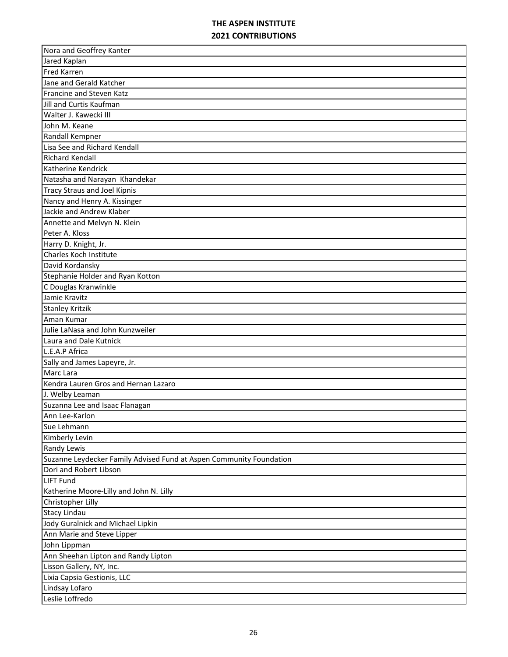| Nora and Geoffrey Kanter                                            |
|---------------------------------------------------------------------|
| Jared Kaplan                                                        |
| <b>Fred Karren</b>                                                  |
| Jane and Gerald Katcher                                             |
| Francine and Steven Katz                                            |
| Jill and Curtis Kaufman                                             |
| Walter J. Kawecki III                                               |
| John M. Keane                                                       |
| Randall Kempner                                                     |
| Lisa See and Richard Kendall                                        |
| <b>Richard Kendall</b>                                              |
| Katherine Kendrick                                                  |
| Natasha and Narayan Khandekar                                       |
| <b>Tracy Straus and Joel Kipnis</b>                                 |
| Nancy and Henry A. Kissinger                                        |
| Jackie and Andrew Klaber                                            |
| Annette and Melvyn N. Klein                                         |
| Peter A. Kloss                                                      |
| Harry D. Knight, Jr.                                                |
| Charles Koch Institute                                              |
| David Kordansky                                                     |
| Stephanie Holder and Ryan Kotton                                    |
| C Douglas Kranwinkle                                                |
| Jamie Kravitz                                                       |
| <b>Stanley Kritzik</b>                                              |
| Aman Kumar                                                          |
| Julie LaNasa and John Kunzweiler                                    |
| Laura and Dale Kutnick                                              |
| L.E.A.P Africa                                                      |
| Sally and James Lapeyre, Jr.                                        |
| Marc Lara                                                           |
| Kendra Lauren Gros and Hernan Lazaro                                |
| J. Welby Leaman                                                     |
| Suzanna Lee and Isaac Flanagan                                      |
| Ann Lee-Karlon                                                      |
| Sue Lehmann                                                         |
| Kimberly Levin                                                      |
| Randy Lewis                                                         |
| Suzanne Leydecker Family Advised Fund at Aspen Community Foundation |
| Dori and Robert Libson                                              |
| <b>LIFT Fund</b>                                                    |
| Katherine Moore-Lilly and John N. Lilly                             |
| Christopher Lilly                                                   |
| <b>Stacy Lindau</b>                                                 |
| Jody Guralnick and Michael Lipkin                                   |
| Ann Marie and Steve Lipper                                          |
| John Lippman                                                        |
| Ann Sheehan Lipton and Randy Lipton                                 |
| Lisson Gallery, NY, Inc.                                            |
| Lixia Capsia Gestionis, LLC                                         |
| Lindsay Lofaro                                                      |
| Leslie Loffredo                                                     |
|                                                                     |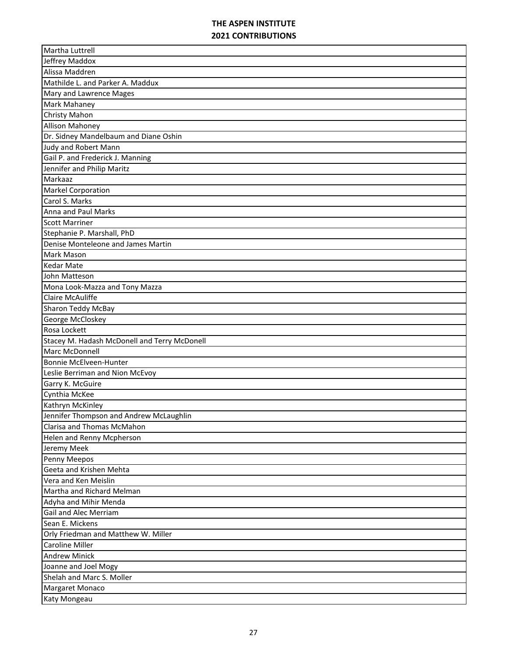| Martha Luttrell                              |
|----------------------------------------------|
| Jeffrey Maddox                               |
| Alissa Maddren                               |
| Mathilde L. and Parker A. Maddux             |
| Mary and Lawrence Mages                      |
| <b>Mark Mahaney</b>                          |
| Christy Mahon                                |
| <b>Allison Mahoney</b>                       |
| Dr. Sidney Mandelbaum and Diane Oshin        |
| Judy and Robert Mann                         |
| Gail P. and Frederick J. Manning             |
| Jennifer and Philip Maritz                   |
| Markaaz                                      |
| <b>Markel Corporation</b>                    |
| Carol S. Marks                               |
| Anna and Paul Marks                          |
| <b>Scott Marriner</b>                        |
| Stephanie P. Marshall, PhD                   |
| Denise Monteleone and James Martin           |
| <b>Mark Mason</b>                            |
| <b>Kedar Mate</b>                            |
| John Matteson                                |
| Mona Look-Mazza and Tony Mazza               |
| <b>Claire McAuliffe</b>                      |
| Sharon Teddy McBay                           |
| George McCloskey                             |
| Rosa Lockett                                 |
| Stacey M. Hadash McDonell and Terry McDonell |
| Marc McDonnell                               |
| Bonnie McElveen-Hunter                       |
| Leslie Berriman and Nion McEvoy              |
| Garry K. McGuire                             |
| Cynthia McKee                                |
| Kathryn McKinley                             |
| Jennifer Thompson and Andrew McLaughlin      |
| Clarisa and Thomas McMahon                   |
| Helen and Renny Mcpherson                    |
| Jeremy Meek                                  |
| Penny Meepos                                 |
| Geeta and Krishen Mehta                      |
| Vera and Ken Meislin                         |
| Martha and Richard Melman                    |
| Adyha and Mihir Menda                        |
|                                              |
| <b>Gail and Alec Merriam</b>                 |
| Sean E. Mickens                              |
| Orly Friedman and Matthew W. Miller          |
| Caroline Miller                              |
| <b>Andrew Minick</b>                         |
| Joanne and Joel Mogy                         |
| Shelah and Marc S. Moller                    |
| Margaret Monaco                              |
| Katy Mongeau                                 |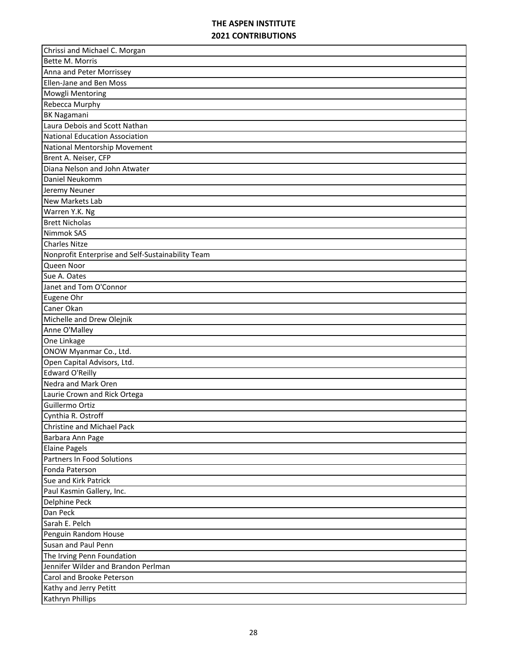| Chrissi and Michael C. Morgan                     |
|---------------------------------------------------|
| Bette M. Morris                                   |
| Anna and Peter Morrissey                          |
| Ellen-Jane and Ben Moss                           |
| Mowgli Mentoring                                  |
| Rebecca Murphy                                    |
| <b>BK Nagamani</b>                                |
| Laura Debois and Scott Nathan                     |
| National Education Association                    |
| National Mentorship Movement                      |
| Brent A. Neiser, CFP                              |
| Diana Nelson and John Atwater                     |
| Daniel Neukomm                                    |
| Jeremy Neuner                                     |
| <b>New Markets Lab</b>                            |
| Warren Y.K. Ng                                    |
| <b>Brett Nicholas</b>                             |
| Nimmok SAS                                        |
| <b>Charles Nitze</b>                              |
| Nonprofit Enterprise and Self-Sustainability Team |
| Queen Noor                                        |
| Sue A. Oates                                      |
| Janet and Tom O'Connor                            |
| Eugene Ohr                                        |
| Caner Okan                                        |
| Michelle and Drew Olejnik                         |
| Anne O'Malley                                     |
| One Linkage                                       |
| ONOW Myanmar Co., Ltd.                            |
| Open Capital Advisors, Ltd.                       |
| <b>Edward O'Reilly</b>                            |
| Nedra and Mark Oren                               |
| Laurie Crown and Rick Ortega                      |
| Guillermo Ortiz                                   |
| Cynthia R. Ostroff                                |
| Christine and Michael Pack                        |
| Barbara Ann Page                                  |
| <b>Elaine Pagels</b>                              |
| Partners In Food Solutions                        |
| Fonda Paterson                                    |
| Sue and Kirk Patrick                              |
| Paul Kasmin Gallery, Inc.                         |
| <b>Delphine Peck</b>                              |
| Dan Peck                                          |
| Sarah E. Pelch                                    |
| Penguin Random House                              |
| Susan and Paul Penn                               |
| The Irving Penn Foundation                        |
| Jennifer Wilder and Brandon Perlman               |
| Carol and Brooke Peterson                         |
| Kathy and Jerry Petitt                            |
| Kathryn Phillips                                  |
|                                                   |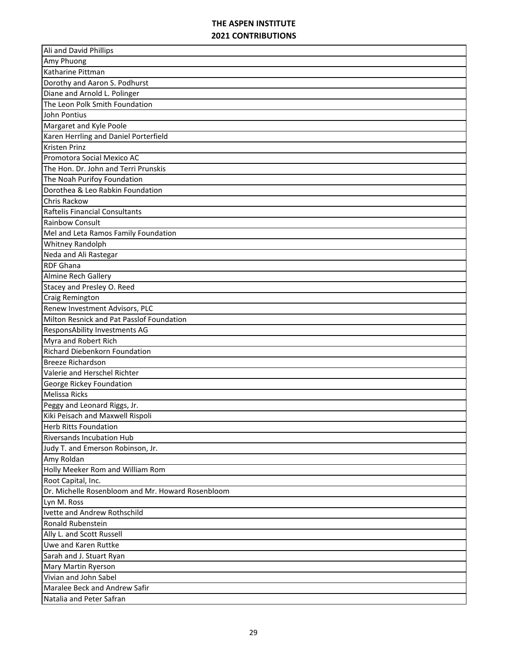| Ali and David Phillips                            |
|---------------------------------------------------|
| Amy Phuong                                        |
| Katharine Pittman                                 |
| Dorothy and Aaron S. Podhurst                     |
| Diane and Arnold L. Polinger                      |
| The Leon Polk Smith Foundation                    |
| John Pontius                                      |
| Margaret and Kyle Poole                           |
| Karen Herrling and Daniel Porterfield             |
| <b>Kristen Prinz</b>                              |
| Promotora Social Mexico AC                        |
| The Hon. Dr. John and Terri Prunskis              |
| The Noah Purifoy Foundation                       |
| Dorothea & Leo Rabkin Foundation                  |
| Chris Rackow                                      |
| Raftelis Financial Consultants                    |
| <b>Rainbow Consult</b>                            |
| Mel and Leta Ramos Family Foundation              |
| Whitney Randolph                                  |
| Neda and Ali Rastegar                             |
| <b>RDF Ghana</b>                                  |
| Almine Rech Gallery                               |
| Stacey and Presley O. Reed                        |
| Craig Remington                                   |
| Renew Investment Advisors, PLC                    |
| Milton Resnick and Pat Passlof Foundation         |
|                                                   |
| <b>ResponsAbility Investments AG</b>              |
| Myra and Robert Rich                              |
| <b>Richard Diebenkorn Foundation</b>              |
| <b>Breeze Richardson</b>                          |
| Valerie and Herschel Richter                      |
| George Rickey Foundation                          |
| Melissa Ricks                                     |
| Peggy and Leonard Riggs, Jr.                      |
| Kiki Peisach and Maxwell Rispoli                  |
| <b>Herb Ritts Foundation</b>                      |
| <b>Riversands Incubation Hub</b>                  |
| Judy T. and Emerson Robinson, Jr.                 |
| Amy Roldan                                        |
| Holly Meeker Rom and William Rom                  |
| Root Capital, Inc.                                |
| Dr. Michelle Rosenbloom and Mr. Howard Rosenbloom |
| Lyn M. Ross                                       |
| Ivette and Andrew Rothschild                      |
| Ronald Rubenstein                                 |
| Ally L. and Scott Russell                         |
| Uwe and Karen Ruttke                              |
| Sarah and J. Stuart Ryan                          |
| Mary Martin Ryerson                               |
| Vivian and John Sabel                             |
| Maralee Beck and Andrew Safir                     |
| Natalia and Peter Safran                          |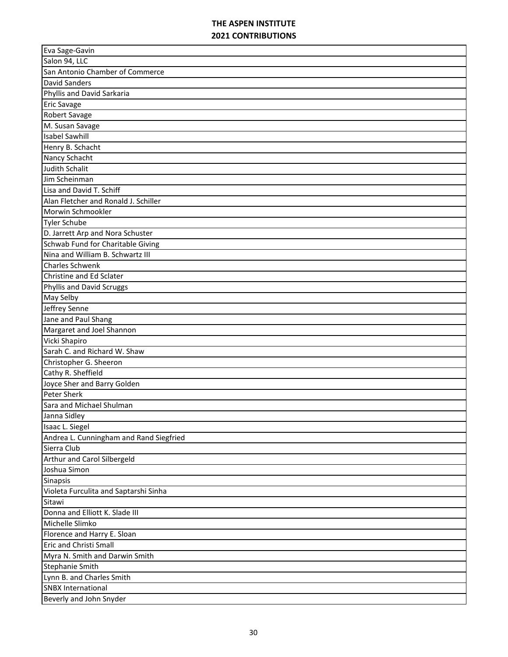| Eva Sage-Gavin                          |
|-----------------------------------------|
| Salon 94, LLC                           |
| San Antonio Chamber of Commerce         |
| <b>David Sanders</b>                    |
| Phyllis and David Sarkaria              |
| <b>Eric Savage</b>                      |
| Robert Savage                           |
| M. Susan Savage                         |
| <b>Isabel Sawhill</b>                   |
| Henry B. Schacht                        |
| Nancy Schacht                           |
| <b>Judith Schalit</b>                   |
| Jim Scheinman                           |
| Lisa and David T. Schiff                |
| Alan Fletcher and Ronald J. Schiller    |
| Morwin Schmookler                       |
| <b>Tyler Schube</b>                     |
| D. Jarrett Arp and Nora Schuster        |
| Schwab Fund for Charitable Giving       |
| Nina and William B. Schwartz III        |
| <b>Charles Schwenk</b>                  |
| Christine and Ed Sclater                |
| Phyllis and David Scruggs               |
| May Selby                               |
| Jeffrey Senne                           |
| Jane and Paul Shang                     |
| Margaret and Joel Shannon               |
| Vicki Shapiro                           |
| Sarah C. and Richard W. Shaw            |
| Christopher G. Sheeron                  |
| Cathy R. Sheffield                      |
| Joyce Sher and Barry Golden             |
| <b>Peter Sherk</b>                      |
| Sara and Michael Shulman                |
| Janna Sidley                            |
| Isaac L. Siegel                         |
| Andrea L. Cunningham and Rand Siegfried |
| Sierra Club                             |
| Arthur and Carol Silbergeld             |
| Joshua Simon                            |
| Sinapsis                                |
| Violeta Furculita and Saptarshi Sinha   |
| Sitawi                                  |
| Donna and Elliott K. Slade III          |
| Michelle Slimko                         |
| Florence and Harry E. Sloan             |
| <b>Eric and Christi Small</b>           |
| Myra N. Smith and Darwin Smith          |
| <b>Stephanie Smith</b>                  |
| Lynn B. and Charles Smith               |
| <b>SNBX International</b>               |
|                                         |
| Beverly and John Snyder                 |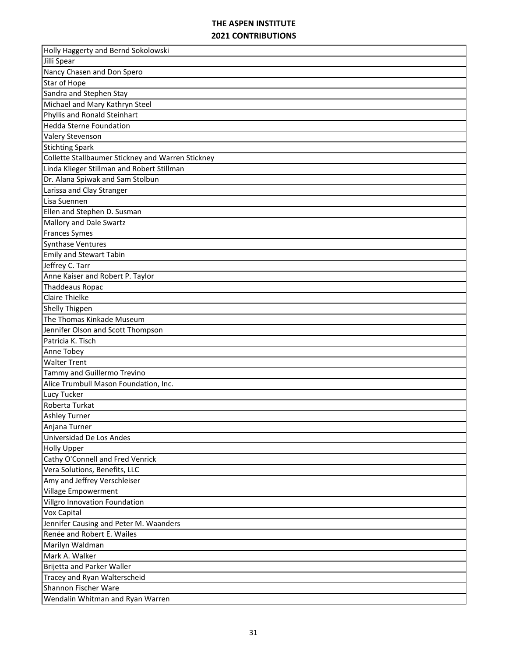| Holly Haggerty and Bernd Sokolowski               |
|---------------------------------------------------|
| Jilli Spear                                       |
| Nancy Chasen and Don Spero                        |
| Star of Hope                                      |
| Sandra and Stephen Stay                           |
| Michael and Mary Kathryn Steel                    |
| Phyllis and Ronald Steinhart                      |
| <b>Hedda Sterne Foundation</b>                    |
| Valery Stevenson                                  |
| <b>Stichting Spark</b>                            |
| Collette Stallbaumer Stickney and Warren Stickney |
| Linda Klieger Stillman and Robert Stillman        |
| Dr. Alana Spiwak and Sam Stolbun                  |
| Larissa and Clay Stranger                         |
| Lisa Suennen                                      |
| Ellen and Stephen D. Susman                       |
| Mallory and Dale Swartz                           |
| <b>Frances Symes</b>                              |
| <b>Synthase Ventures</b>                          |
| <b>Emily and Stewart Tabin</b>                    |
| Jeffrey C. Tarr                                   |
| Anne Kaiser and Robert P. Taylor                  |
| <b>Thaddeaus Ropac</b>                            |
| <b>Claire Thielke</b>                             |
| <b>Shelly Thigpen</b>                             |
| The Thomas Kinkade Museum                         |
| Jennifer Olson and Scott Thompson                 |
| Patricia K. Tisch                                 |
| Anne Tobey                                        |
| <b>Walter Trent</b>                               |
| Tammy and Guillermo Trevino                       |
| Alice Trumbull Mason Foundation, Inc.             |
| Lucy Tucker                                       |
| Roberta Turkat                                    |
| <b>Ashley Turner</b>                              |
| Anjana Turner                                     |
| Universidad De Los Andes                          |
| <b>Holly Upper</b>                                |
| Cathy O'Connell and Fred Venrick                  |
| Vera Solutions, Benefits, LLC                     |
| Amy and Jeffrey Verschleiser                      |
| Village Empowerment                               |
| Villgro Innovation Foundation                     |
| <b>Vox Capital</b>                                |
| Jennifer Causing and Peter M. Waanders            |
| Renée and Robert E. Wailes                        |
|                                                   |
| Marilyn Waldman<br>Mark A. Walker                 |
| Brijetta and Parker Waller                        |
| Tracey and Ryan Walterscheid                      |
| Shannon Fischer Ware                              |
|                                                   |
| Wendalin Whitman and Ryan Warren                  |